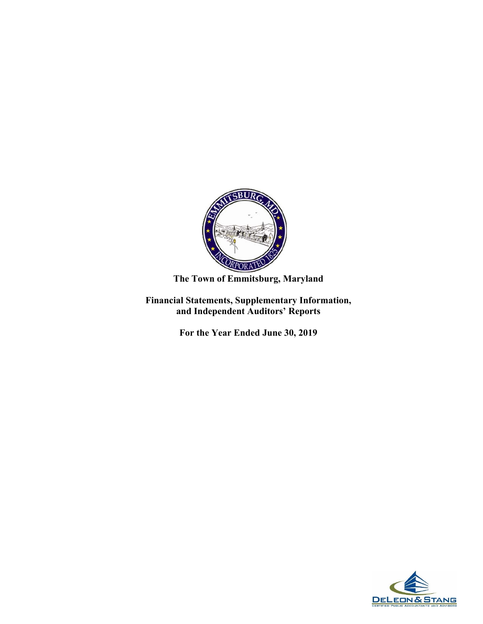

## **The Town of Emmitsburg, Maryland**

**Financial Statements, Supplementary Information, and Independent Auditors' Reports** 

**For the Year Ended June 30, 2019** 

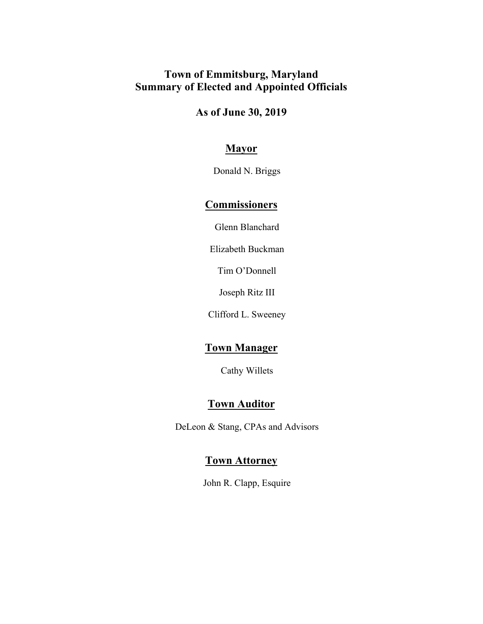## **Town of Emmitsburg, Maryland Summary of Elected and Appointed Officials**

**As of June 30, 2019** 

## **Mayor**

Donald N. Briggs

## **Commissioners**

Glenn Blanchard

Elizabeth Buckman

Tim O'Donnell

Joseph Ritz III

Clifford L. Sweeney

## **Town Manager**

Cathy Willets

## **Town Auditor**

DeLeon & Stang, CPAs and Advisors

### **Town Attorney**

John R. Clapp, Esquire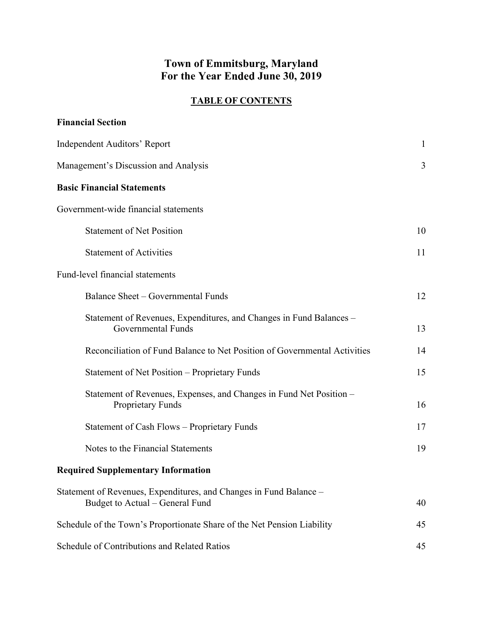## **Town of Emmitsburg, Maryland For the Year Ended June 30, 2019**

#### **TABLE OF CONTENTS**

| <b>Financial Section</b>                                                                              |              |
|-------------------------------------------------------------------------------------------------------|--------------|
| Independent Auditors' Report                                                                          | $\mathbf{1}$ |
| Management's Discussion and Analysis                                                                  | 3            |
| <b>Basic Financial Statements</b>                                                                     |              |
| Government-wide financial statements                                                                  |              |
| <b>Statement of Net Position</b>                                                                      | 10           |
| <b>Statement of Activities</b>                                                                        | 11           |
| Fund-level financial statements                                                                       |              |
| Balance Sheet - Governmental Funds                                                                    | 12           |
| Statement of Revenues, Expenditures, and Changes in Fund Balances -<br>Governmental Funds             | 13           |
| Reconciliation of Fund Balance to Net Position of Governmental Activities                             | 14           |
| <b>Statement of Net Position - Proprietary Funds</b>                                                  | 15           |
| Statement of Revenues, Expenses, and Changes in Fund Net Position -<br><b>Proprietary Funds</b>       | 16           |
| Statement of Cash Flows - Proprietary Funds                                                           | 17           |
| Notes to the Financial Statements                                                                     | 19           |
| <b>Required Supplementary Information</b>                                                             |              |
| Statement of Revenues, Expenditures, and Changes in Fund Balance –<br>Budget to Actual – General Fund | 40           |
| Schedule of the Town's Proportionate Share of the Net Pension Liability                               | 45           |
| Schedule of Contributions and Related Ratios                                                          | 45           |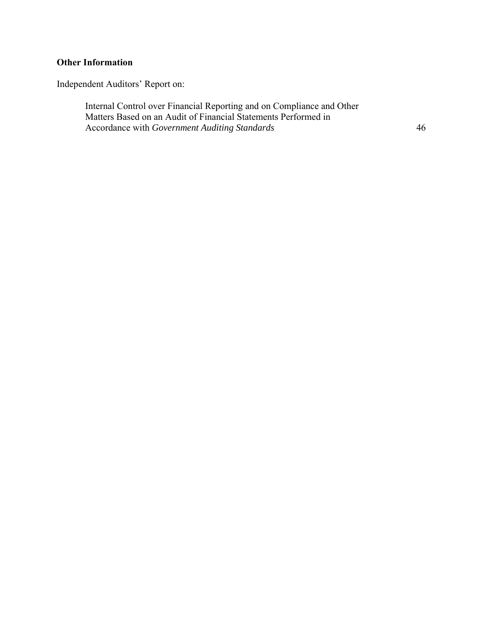## **Other Information**

Independent Auditors' Report on:

Internal Control over Financial Reporting and on Compliance and Other Matters Based on an Audit of Financial Statements Performed in Accordance with *Government Auditing Standards* 

46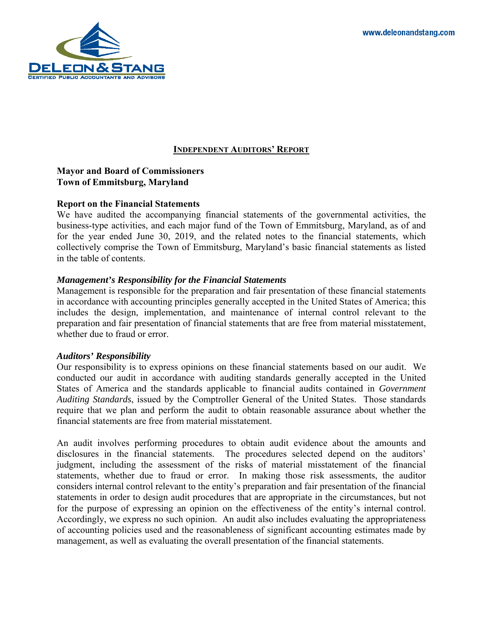

#### **INDEPENDENT AUDITORS' REPORT**

#### **Mayor and Board of Commissioners Town of Emmitsburg, Maryland**

#### **Report on the Financial Statements**

We have audited the accompanying financial statements of the governmental activities, the business-type activities, and each major fund of the Town of Emmitsburg, Maryland, as of and for the year ended June 30, 2019, and the related notes to the financial statements, which collectively comprise the Town of Emmitsburg, Maryland's basic financial statements as listed in the table of contents.

#### *Management's Responsibility for the Financial Statements*

Management is responsible for the preparation and fair presentation of these financial statements in accordance with accounting principles generally accepted in the United States of America; this includes the design, implementation, and maintenance of internal control relevant to the preparation and fair presentation of financial statements that are free from material misstatement, whether due to fraud or error.

#### *Auditors' Responsibility*

Our responsibility is to express opinions on these financial statements based on our audit. We conducted our audit in accordance with auditing standards generally accepted in the United States of America and the standards applicable to financial audits contained in *Government Auditing Standards*, issued by the Comptroller General of the United States. Those standards require that we plan and perform the audit to obtain reasonable assurance about whether the financial statements are free from material misstatement.

 disclosures in the financial statements. The procedures selected depend on the auditors' for the purpose of expressing an opinion on the effectiveness of the entity's internal control. An audit involves performing procedures to obtain audit evidence about the amounts and judgment, including the assessment of the risks of material misstatement of the financial statements, whether due to fraud or error. In making those risk assessments, the auditor considers internal control relevant to the entity's preparation and fair presentation of the financial statements in order to design audit procedures that are appropriate in the circumstances, but not Accordingly, we express no such opinion. An audit also includes evaluating the appropriateness of accounting policies used and the reasonableness of significant accounting estimates made by management, as well as evaluating the overall presentation of the financial statements.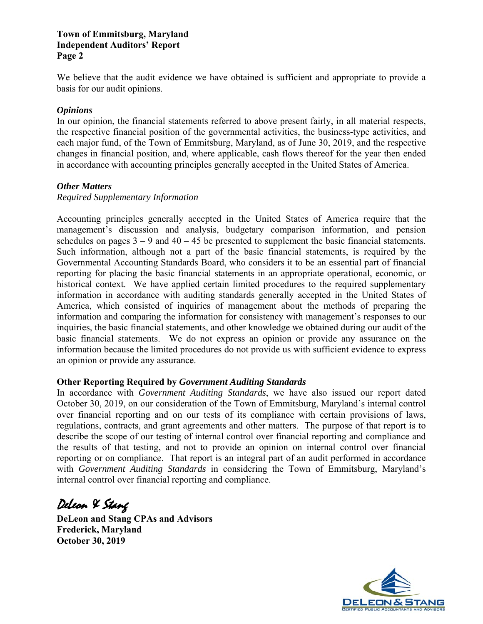# **Independent Auditors' Report Page 2**

We believe that the audit evidence we have obtained is sufficient and appropriate to provide a basis for our audit opinions.

#### *Opinions*

In our opinion, the financial statements referred to above present fairly, in all material respects, the respective financial position of the governmental activities, the business-type activities, and each major fund, of the Town of Emmitsburg, Maryland, as of June 30, 2019, and the respective changes in financial position, and, where applicable, cash flows thereof for the year then ended in accordance with accounting principles generally accepted in the United States of America.

#### *Other Matters*

#### *Required Supplementary Information*

 Accounting principles generally accepted in the United States of America require that the schedules on pages  $3 - 9$  and  $40 - 45$  be presented to supplement the basic financial statements. information in accordance with auditing standards generally accepted in the United States of **Town of Emmitsburg, Maryland**<br> **Independent Auditors' Report**<br> **Page 2**<br>
We believe that the audit evidence<br>
basis for our audit opinions.<br> *Opinions*<br>
In our opinion, the financial statem<br>
the respective financial positi management's discussion and analysis, budgetary comparison information, and pension Such information, although not a part of the basic financial statements, is required by the Governmental Accounting Standards Board, who considers it to be an essential part of financial reporting for placing the basic financial statements in an appropriate operational, economic, or historical context. We have applied certain limited procedures to the required supplementary America, which consisted of inquiries of management about the methods of preparing the information and comparing the information for consistency with management's responses to our inquiries, the basic financial statements, and other knowledge we obtained during our audit of the basic financial statements. We do not express an opinion or provide any assurance on the information because the limited procedures do not provide us with sufficient evidence to express an opinion or provide any assurance.

#### **Other Reporting Required by** *Government Auditing Standards*

 regulations, contracts, and grant agreements and other matters. The purpose of that report is to In accordance with *Government Auditing Standards*, we have also issued our report dated October 30, 2019, on our consideration of the Town of Emmitsburg, Maryland's internal control over financial reporting and on our tests of its compliance with certain provisions of laws, describe the scope of our testing of internal control over financial reporting and compliance and the results of that testing, and not to provide an opinion on internal control over financial reporting or on compliance. That report is an integral part of an audit performed in accordance with *Government Auditing Standards* in considering the Town of Emmitsburg, Maryland's internal control over financial reporting and compliance.

DeLeon & Stang

**DeLeon and Stang CPAs and Advisors Frederick, Maryland October 30, 2019** 

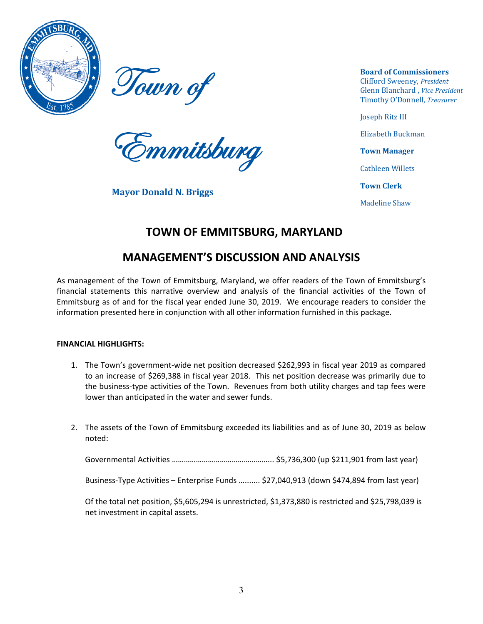<span id="page-6-0"></span>

Town of



**Mayor Donald N. Briggs** 

**Board of Commissioners**  Clifford Sweeney, *President*  Glenn Blanchard , *Vice President*  Timothy O'Donnell, *Treasurer* 

Joseph Ritz III

Elizabeth Buckman

Cathleen Willets

**Town Clerk**

Madeline Shaw

## **TOWN OF EMMITSBURG, MARYLAND**

## **MANAGEMENT'S DISCUSSION AND ANALYSIS**

 Emmitsburg as of and for the fiscal year ended June 30, 2019. We encourage readers to consider the As management of the Town of Emmitsburg, Maryland, we offer readers of the Town of Emmitsburg's financial statements this narrative overview and analysis of the financial activities of the Town of information presented here in conjunction with all other information furnished in this package.

#### **FINANCIAL HIGHLIGHTS:**

- 1. The Town's government-wide net position decreased \$262,993 in fiscal year 2019 as compared to an increase of \$269,388 in fiscal year 2018. This net position decrease was primarily due to the business-type activities of the Town. Revenues from both utility charges and tap fees were lower than anticipated in the water and sewer funds.
- 2. The assets of the Town of Emmitsburg exceeded its liabilities and as of June 30, 2019 as below noted:

Governmental Activities …………………………………………... \$5,736,300 (up \$211,901 from last year)

Business-Type Activities – Enterprise Funds …....... \$27,040,913 (down \$474,894 from last year)

Of the total net position, \$5,605,294 is unrestricted, \$1,373,880 is restricted and \$25,798,039 is net investment in capital assets.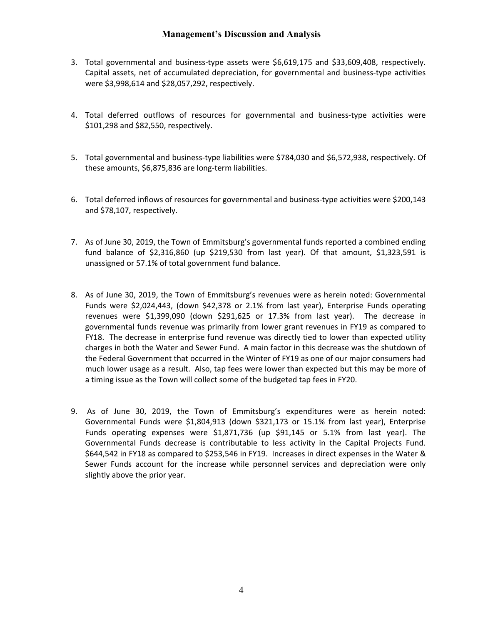#### **Management's Discussion and Analysis**

- 3. Total governmental and business-type assets were \$6,619,175 and \$33,609,408, respectively. Capital assets, net of accumulated depreciation, for governmental and business-type activities were \$3,998,614 and \$28,057,292, respectively.
- 4. Total deferred outflows of resources for governmental and business-type activities were \$101,298 and \$82,550, respectively.
- 5. Total governmental and business-type liabilities were \$784,030 and \$6,572,938, respectively. Of these amounts, \$6,875,836 are long-term liabilities.
- 6. Total deferred inflows of resources for governmental and business-type activities were \$200,143 and \$78,107, respectively.
- 7. As of June 30, 2019, the Town of Emmitsburg's governmental funds reported a combined ending fund balance of \$2,316,860 (up \$219,530 from last year). Of that amount, \$1,323,591 is unassigned or 57.1% of total government fund balance.
- revenues were \$1,399,090 (down \$291,625 or 17.3% from last year). The decrease in FY18. The decrease in enterprise fund revenue was directly tied to lower than expected utility the Federal Government that occurred in the Winter of FY19 as one of our major consumers had much lower usage as a result. Also, tap fees were lower than expected but this may be more of and \$33,609,408, respective<br>tal and business-type activities<br>l business-type activities we<br>and \$6,572,938, respectively.<br>ss-type activities were \$200,1<br>nds reported a combined endi<br>Df that amount, \$1,323,591<br>as herein note The decrease in enterprise fund revenue was directly tied to lower than expected ut<br>es in both the Water and Sewer Fund. A main factor in this decrease was the shutdow<br>ederal Government that occurred in the Winter of FY19 8. As of June 30, 2019, the Town of Emmitsburg's revenues were as herein noted: Governmental Funds were \$2,024,443, (down \$42,378 or 2.1% from last year), Enterprise Funds operating governmental funds revenue was primarily from lower grant revenues in FY19 as compared to charges in both the Water and Sewer Fund. A main factor in this decrease was the shutdown of a timing issue as the Town will collect some of the budgeted tap fees in FY20.
- 9. As of June 30, 2019, the Town of Emmitsburg's expenditures were as herein noted: Governmental Funds decrease is contributable to less activity in the Capital Projects Fund. \$644,542 in FY18 as compared to \$253,546 in FY19. Increases in direct expenses in the Water & Sewer Funds account for the increase while personnel services and depreciation were only the Town of Emmitsburg's expenditures were as herein in<br>
e \$1,804,913 (down \$321,173 or 15.1% from last year), Ente<br>
es were \$1,871,736 (up \$91,145 or 5.1% from last year)<br>
rease is contributable to less activity in the Ca Governmental Funds were \$1,804,913 (down \$321,173 or 15.1% from last year), Enterprise Funds operating expenses were \$1,871,736 (up \$91,145 or 5.1% from last year). The slightly above the prior year.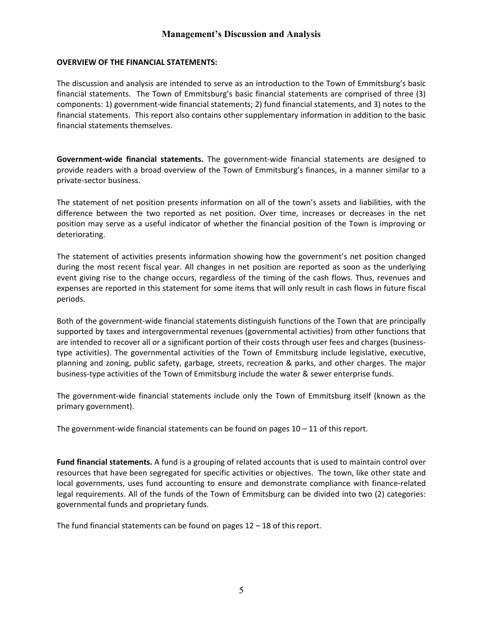#### **OVERVIEW OF THE FINANCIAL STATEMENTS:**

 financial statements. The Town of Emmitsburg's basic financial statements are comprised of three (3) financial statements. This report also contains other supplementary information in addition to the basic The discussion and analysis are intended to serve as an introduction to the Town of Emmitsburg's basic components: 1) government-wide financial statements; 2) fund financial statements, and 3) notes to the financial statements themselves.

 **Government-wide financial statements.** The government-wide financial statements are designed to n addition to the ba<br>ents are designed<br>a manner similar to<br>nd liabilities, with t<br>decreases in the r provide readers with a broad overview of the Town of Emmitsburg's finances, in a manner similar to a private-sector business.

 difference between the two reported as net position. Over time, increases or decreases in the net position may serve as a useful indicator of whether the financial position of the Town is improving or The statement of net position presents information on all of the town's assets and liabilities, with the deteriorating.

 during the most recent fiscal year. All changes in net position are reported as soon as the underlying event giving rise to the change occurs, regardless of the timing of the cash flows. Thus, revenues and The statement of activities presents information showing how the government's net position changed expenses are reported in this statement for some items that will only result in cash flows in future fiscal periods.

 supported by taxes and intergovernmental revenues (governmental activities) from other functions that planning and zoning, public safety, garbage, streets, recreation & parks, and other charges. The major business-type activities of the Town of Emmitsburg include the water & sewer enterprise funds. **Management's Discussion and Analysis**<br>
WO OF THE FINANCIAL STATEMENTS:<br>
Sussion and analysis are intended to serve as an introduction to the<br>
statements. The Town of Emmitsburg's basic financial statements<br>
statements. Th Both of the government-wide financial statements distinguish functions of the Town that are principally are intended to recover all or a significant portion of their costs through user fees and charges (businesstype activities). The governmental activities of the Town of Emmitsburg include legislative, executive,

 The government-wide financial statements include only the Town of Emmitsburg itself (known as the primary government).

The government-wide financial statements can be found on pages  $10 - 11$  of this report.

 resources that have been segregated for specific activities or objectives. The town, like other state and legal requirements. All of the funds of the Town of Emmitsburg can be divided into two (2) categories: **Fund financial statements.** A fund is a grouping of related accounts that is used to maintain control over local governments, uses fund accounting to ensure and demonstrate compliance with finance-related governmental funds and proprietary funds.

The fund financial statements can be found on pages 12 – 18 of this report.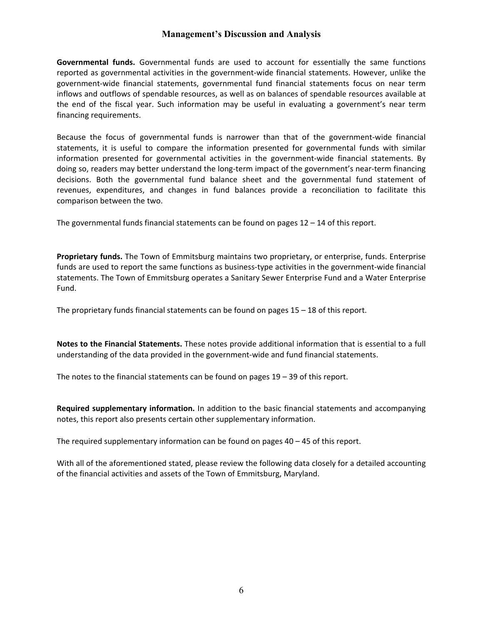#### **Management's Discussion and Analysis**

 **Governmental funds.** Governmental funds are used to account for essentially the same functions government-wide financial statements, governmental fund financial statements focus on near term reported as governmental activities in the government-wide financial statements. However, unlike the inflows and outflows of spendable resources, as well as on balances of spendable resources available at the end of the fiscal year. Such information may be useful in evaluating a government's near term financing requirements.

 doing so, readers may better understand the long-term impact of the government's near-term financing revenues, expenditures, and changes in fund balances provide a reconciliation to facilitate this Ewide financial statements, governmental fund financial statements focus on near the<br>noutflows of spendable resources, as well as on balances of spendable resources availab<br>the fiscal year. Such information may be useful i Because the focus of governmental funds is narrower than that of the government-wide financial statements, it is useful to compare the information presented for governmental funds with similar information presented for governmental activities in the government-wide financial statements. By decisions. Both the governmental fund balance sheet and the governmental fund statement of comparison between the two.

The governmental funds financial statements can be found on pages 12 – 14 of this report.

 **Proprietary funds.** The Town of Emmitsburg maintains two proprietary, or enterprise, funds. Enterprise funds are used to report the same functions as business-type activities in the government-wide financial statements. The Town of Emmitsburg operates a Sanitary Sewer Enterprise Fund and a Water Enterprise Fund.

The proprietary funds financial statements can be found on pages 15 – 18 of this report.

 understanding of the data provided in the government-wide and fund financial statements. **Notes to the Financial Statements.** These notes provide additional information that is essential to a full

The notes to the financial statements can be found on pages 19 – 39 of this report.

 **Required supplementary information.** In addition to the basic financial statements and accompanying notes, this report also presents certain other supplementary information.

The required supplementary information can be found on pages 40 – 45 of this report.

With all of the aforementioned stated, please review the following data closely for a detailed accounting of the financial activities and assets of the Town of Emmitsburg, Maryland.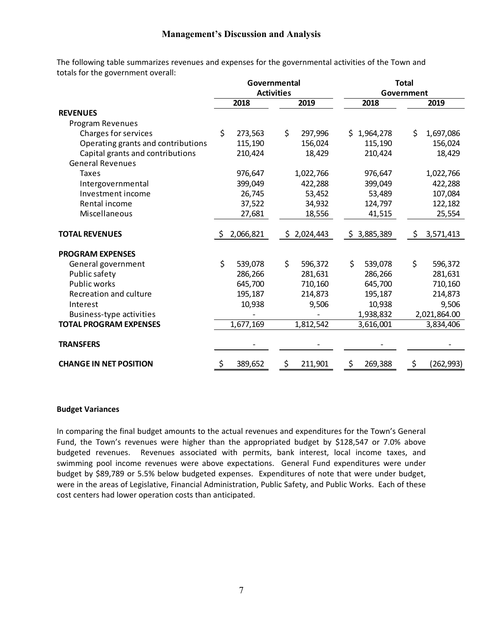|     |           |                   |           |                                                          |           |                                          | 2019                       |
|-----|-----------|-------------------|-----------|----------------------------------------------------------|-----------|------------------------------------------|----------------------------|
|     |           |                   |           |                                                          |           |                                          |                            |
|     |           |                   |           |                                                          |           |                                          |                            |
| \$  | 273,563   | \$                | 297,996   |                                                          |           | \$                                       | 1,697,086                  |
|     | 115,190   |                   | 156,024   |                                                          | 115,190   |                                          | 156,024                    |
|     | 210,424   |                   | 18,429    |                                                          | 210,424   |                                          | 18,429                     |
|     |           |                   |           |                                                          |           |                                          |                            |
|     | 976,647   |                   | 1,022,766 |                                                          | 976,647   |                                          | 1,022,766                  |
|     | 399,049   |                   | 422,288   |                                                          | 399,049   |                                          | 422,288                    |
|     | 26,745    |                   | 53,452    |                                                          | 53,489    |                                          | 107,084                    |
|     | 37,522    |                   | 34,932    |                                                          | 124,797   |                                          | 122,182                    |
|     | 27,681    |                   | 18,556    |                                                          | 41,515    |                                          | 25,554                     |
| S   |           |                   |           |                                                          |           | Ş.                                       | 3,571,413                  |
|     |           |                   |           |                                                          |           |                                          |                            |
| \$  | 539,078   | \$                | 596,372   |                                                          | 539,078   | \$                                       | 596,372                    |
|     | 286,266   |                   | 281,631   |                                                          | 286,266   |                                          | 281,631                    |
|     | 645,700   |                   | 710,160   |                                                          | 645,700   |                                          | 710,160                    |
|     | 195,187   |                   | 214,873   |                                                          | 195,187   |                                          | 214,873                    |
|     | 10,938    |                   | 9,506     |                                                          | 10,938    |                                          | 9,506                      |
|     |           |                   |           |                                                          | 1,938,832 |                                          | 2,021,864.00               |
|     | 1,677,169 |                   | 1,812,542 |                                                          | 3,616,001 |                                          | 3,834,406                  |
|     |           |                   |           |                                                          |           |                                          |                            |
| \$. | 389,652   | \$                | 211,901   | \$                                                       | 269,388   | \$                                       | (262, 993)                 |
|     |           | 2018<br>2,066,821 |           | Governmental<br><b>Activities</b><br>2019<br>\$2,024,443 |           | 2018<br>\$1,964,278<br>\$3,885,389<br>\$ | <b>Total</b><br>Government |

#### **Budget Variances**

 In comparing the final budget amounts to the actual revenues and expenditures for the Town's General Fund, the Town's revenues were higher than the appropriated budget by \$128,547 or 7.0% above swimming pool income revenues were above expectations. General Fund expenditures were under budget by \$89,789 or 5.5% below budgeted expenses. Expenditures of note that were under budget, budgeted revenues. Revenues associated with permits, bank interest, local income taxes, and were in the areas of Legislative, Financial Administration, Public Safety, and Public Works. Each of these cost centers had lower operation costs than anticipated.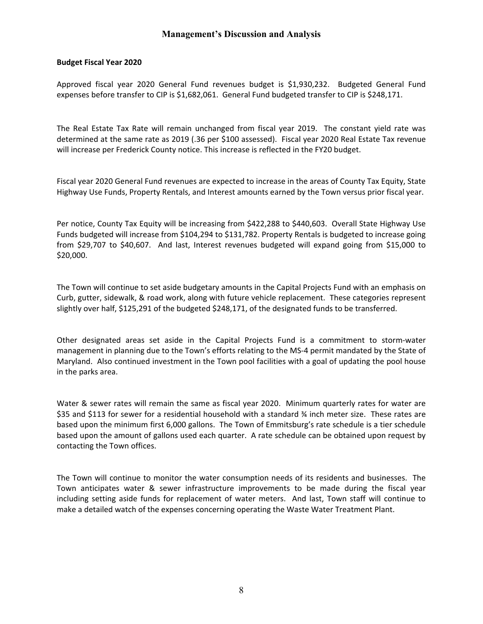#### **Budget Fiscal Year 2020**

Approved fiscal year 2020 General Fund revenues budget is \$1,930,232. Budgeted General Fund expenses before transfer to CIP is \$1,682,061. General Fund budgeted transfer to CIP is \$248,171.

 The Real Estate Tax Rate will remain unchanged from fiscal year 2019. The constant yield rate was determined at the same rate as 2019 (.36 per \$100 assessed). Fiscal year 2020 Real Estate Tax revenue will increase per Frederick County notice. This increase is reflected in the FY20 budget.

 Fiscal year 2020 General Fund revenues are expected to increase in the areas of County Tax Equity, State Highway Use Funds, Property Rentals, and Interest amounts earned by the Town versus prior fiscal year.

Per notice, County Tax Equity will be increasing from \$422,288 to \$440,603. Overall State Highway Use Funds budgeted will increase from \$104,294 to \$131,782. Property Rentals is budgeted to increase going from \$29,707 to \$40,607. And last, Interest revenues budgeted will expand going from \$15,000 to \$20,000.

 Curb, gutter, sidewalk, & road work, along with future vehicle replacement. These categories represent slightly over half, \$125,291 of the budgeted \$248,171, of the designated funds to be transferred. The Town will continue to set aside budgetary amounts in the Capital Projects Fund with an emphasis on

 Other designated areas set aside in the Capital Projects Fund is a commitment to storm-water Maryland. Also continued investment in the Town pool facilities with a goal of updating the pool house management in planning due to the Town's efforts relating to the MS-4 permit mandated by the State of in the parks area.

 \$35 and \$113 for sewer for a residential household with a standard ¾ inch meter size. These rates are based upon the amount of gallons used each quarter. A rate schedule can be obtained upon request by **Management's Discussion and Analysis**<br> **Management's Discussion and Analysis**<br> **Management Vacal Divident Coll** (1915 (51,582,061)<br> **Management Coll is \$1,682,061**. General Fund budgeted tran<br>
ate Tax Rate will remain unc Water & sewer rates will remain the same as fiscal year 2020. Minimum quarterly rates for water are based upon the minimum first 6,000 gallons. The Town of Emmitsburg's rate schedule is a tier schedule contacting the Town offices.

 The Town will continue to monitor the water consumption needs of its residents and businesses. The Town anticipates water & sewer infrastructure improvements to be made during the fiscal year including setting aside funds for replacement of water meters. And last, Town staff will continue to make a detailed watch of the expenses concerning operating the Waste Water Treatment Plant.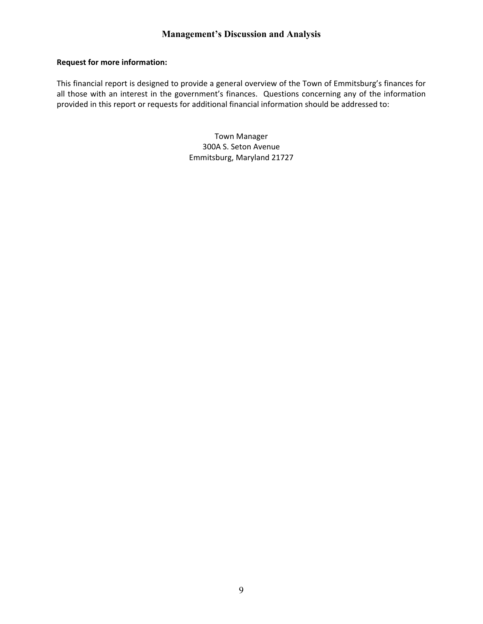#### **Request for more information:**

 all those with an interest in the government's finances. Questions concerning any of the information **Management's Discussion and Analysis<br>
formation:**<br>
is designed to provide a general overview of the Town of Emmitsburg's<br>
terest in the government's finances. Questions concerning any of the This financial report is designed to provide a general overview of the Town of Emmitsburg's finances for provided in this report or requests for additional financial information should be addressed to:

> Town Manager 300A S. Seton Avenue Emmitsburg, Maryland 21727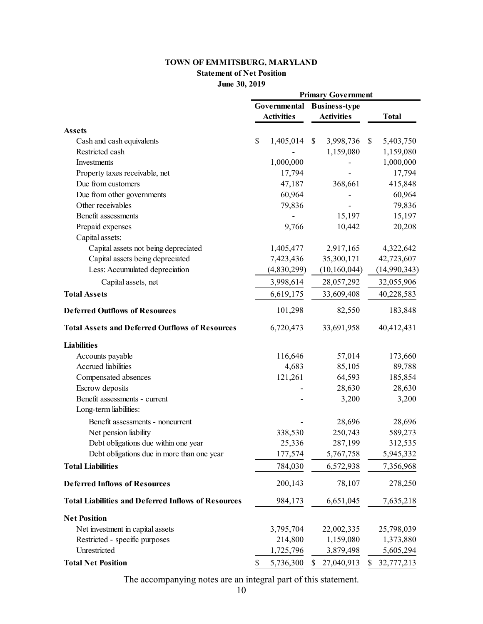#### **TOWN OF EMMITSBURG, MARYLAND**

#### **Statement of Net Position**

| <b>Statement of Net Position</b>                           |                           |                   |    |                      |    |              |
|------------------------------------------------------------|---------------------------|-------------------|----|----------------------|----|--------------|
| June 30, 2019                                              |                           |                   |    |                      |    |              |
|                                                            | <b>Primary Government</b> |                   |    |                      |    |              |
|                                                            | Governmental              |                   |    | <b>Business-type</b> |    |              |
|                                                            |                           | <b>Activities</b> |    | <b>Activities</b>    |    | <b>Total</b> |
| <b>Assets</b>                                              |                           |                   |    |                      |    |              |
| Cash and cash equivalents                                  | \$                        | 1,405,014         | \$ | 3,998,736            | \$ | 5,403,750    |
| Restricted cash                                            |                           |                   |    | 1,159,080            |    | 1,159,080    |
| Investments                                                |                           | 1,000,000         |    |                      |    | 1,000,000    |
| Property taxes receivable, net                             |                           | 17,794            |    |                      |    | 17,794       |
| Due from customers                                         |                           | 47,187            |    | 368,661              |    | 415,848      |
| Due from other governments                                 |                           | 60,964            |    |                      |    | 60,964       |
| Other receivables                                          |                           | 79,836            |    |                      |    | 79,836       |
| Benefit assessments                                        |                           |                   |    | 15,197               |    | 15,197       |
| Prepaid expenses                                           |                           | 9,766             |    | 10,442               |    | 20,208       |
| Capital assets:                                            |                           |                   |    |                      |    |              |
| Capital assets not being depreciated                       |                           | 1,405,477         |    | 2,917,165            |    | 4,322,642    |
| Capital assets being depreciated                           |                           | 7,423,436         |    | 35,300,171           |    | 42,723,607   |
| Less: Accumulated depreciation                             |                           | (4,830,299)       |    | (10, 160, 044)       |    | (14,990,343) |
| Capital assets, net                                        |                           | 3,998,614         |    | 28,057,292           |    | 32,055,906   |
| <b>Total Assets</b>                                        |                           | 6,619,175         |    | 33,609,408           |    | 40,228,583   |
| <b>Deferred Outflows of Resources</b>                      |                           | 101,298           |    | 82,550               |    | 183,848      |
| <b>Total Assets and Deferred Outflows of Resources</b>     |                           | 6,720,473         |    | 33,691,958           |    | 40,412,431   |
| <b>Liabilities</b>                                         |                           |                   |    |                      |    |              |
| Accounts payable                                           |                           | 116,646           |    | 57,014               |    | 173,660      |
| Accrued liabilities                                        |                           | 4,683             |    | 85,105               |    | 89,788       |
| Compensated absences                                       |                           | 121,261           |    | 64,593               |    | 185,854      |
| Escrow deposits                                            |                           |                   |    | 28,630               |    | 28,630       |
| Benefit assessments - current                              |                           |                   |    | 3,200                |    | 3,200        |
| Long-term liabilities:                                     |                           |                   |    |                      |    |              |
| Benefit assessments - noncurrent                           |                           |                   |    | 28,696               |    | 28,696       |
| Net pension liability                                      |                           | 338,530           |    | 250,743              |    | 589,273      |
| Debt obligations due within one year                       |                           | 25,336            |    | 287,199              |    | 312,535      |
| Debt obligations due in more than one year                 |                           | 177,574           |    | 5,767,758            |    | 5,945,332    |
| <b>Total Liabilities</b>                                   |                           | 784,030           |    | 6,572,938            |    | 7,356,968    |
| <b>Deferred Inflows of Resources</b>                       |                           | 200,143           |    | 78,107               |    | 278,250      |
| <b>Total Liabilities and Deferred Inflows of Resources</b> |                           | 984,173           |    | 6,651,045            |    | 7,635,218    |
| <b>Net Position</b>                                        |                           |                   |    |                      |    |              |
| Net investment in capital assets                           |                           | 3,795,704         |    | 22,002,335           |    | 25,798,039   |
| Restricted - specific purposes                             |                           | 214,800           |    | 1,159,080            |    | 1,373,880    |
| Unrestricted                                               |                           | 1,725,796         |    | 3,879,498            |    | 5,605,294    |
| <b>Total Net Position</b>                                  | \$                        | 5,736,300         | \$ | 27,040,913           | S  | 32,777,213   |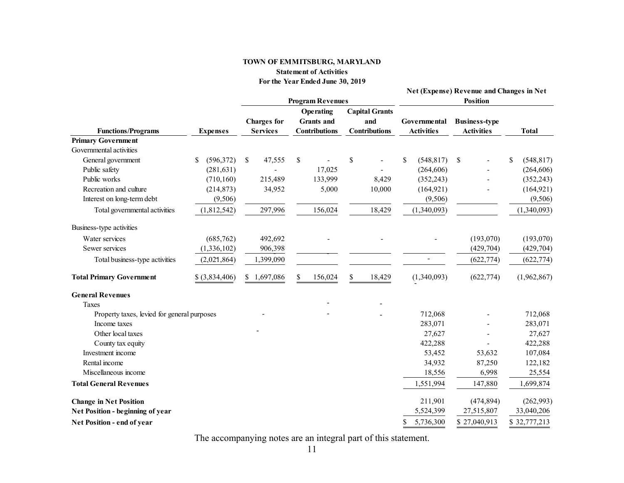#### **TOWN OF EMMITSBURG, MARYLAND Statement of Activities For the Year Ended June 30, 2019**

|                                             |                 |                         |                      |                       | <b>Net (Expense) Revenue and Changes in Net</b> |                      |                  |
|---------------------------------------------|-----------------|-------------------------|----------------------|-----------------------|-------------------------------------------------|----------------------|------------------|
|                                             |                 | <b>Program Revenues</b> |                      |                       | <b>Position</b>                                 |                      |                  |
|                                             |                 |                         | Operating            | <b>Capital Grants</b> |                                                 |                      |                  |
|                                             |                 | <b>Charges</b> for      | <b>Grants</b> and    | and                   | Governmental                                    | <b>Business-type</b> |                  |
| <b>Functions/Programs</b>                   | <b>Expenses</b> | <b>Services</b>         | <b>Contributions</b> | <b>Contributions</b>  | <b>Activities</b>                               | <b>Activities</b>    | <b>Total</b>     |
| <b>Primary Government</b>                   |                 |                         |                      |                       |                                                 |                      |                  |
| Governmental activities                     |                 |                         |                      |                       |                                                 |                      |                  |
| General government                          | (596,372)<br>\$ | 47,555<br>\$            | \$                   | \$                    | \$<br>(548, 817)                                | \$                   | (548, 817)<br>\$ |
| Public safety                               | (281, 631)      |                         | 17,025               |                       | (264, 606)                                      |                      | (264, 606)       |
| Public works                                | (710, 160)      | 215,489                 | 133,999              | 8,429                 | (352, 243)                                      |                      | (352, 243)       |
| Recreation and culture                      | (214, 873)      | 34,952                  | 5,000                | 10,000                | (164, 921)                                      |                      | (164, 921)       |
| Interest on long-term debt                  | (9,506)         |                         |                      |                       | (9,506)                                         |                      | (9,506)          |
| Total governmental activities               | (1,812,542)     | 297,996                 | 156,024              | 18,429                | (1,340,093)                                     |                      | (1,340,093)      |
| Business-type activities                    |                 |                         |                      |                       |                                                 |                      |                  |
| Water services                              | (685, 762)      | 492,692                 |                      |                       |                                                 | (193,070)            | (193,070)        |
| Sewer services                              | (1, 336, 102)   | 906,398                 |                      |                       |                                                 | (429, 704)           | (429, 704)       |
| Total business-type activities              | (2,021,864)     | 1,399,090               |                      |                       |                                                 | (622, 774)           | (622, 774)       |
| <b>Total Primary Government</b>             | $$$ (3,834,406) | 1,697,086<br>\$         | 156,024<br>\$        | 18,429<br>\$          | (1,340,093)                                     | (622, 774)           | (1,962,867)      |
| <b>General Revenues</b>                     |                 |                         |                      |                       |                                                 |                      |                  |
| Taxes                                       |                 |                         |                      |                       |                                                 |                      |                  |
| Property taxes, levied for general purposes |                 |                         |                      |                       | 712,068                                         |                      | 712,068          |
| Income taxes                                |                 |                         |                      |                       | 283,071                                         |                      | 283,071          |
| Other local taxes                           |                 |                         |                      |                       | 27,627                                          |                      | 27,627           |
| County tax equity                           |                 |                         |                      |                       | 422,288                                         |                      | 422,288          |
| Investment income                           |                 |                         |                      |                       | 53,452                                          | 53,632               | 107,084          |
| Rental income                               |                 |                         |                      |                       | 34,932                                          | 87,250               | 122,182          |
| Miscellaneous income                        |                 |                         |                      |                       | 18,556                                          | 6,998                | 25,554           |
| <b>Total General Revenues</b>               |                 |                         |                      |                       | 1,551,994                                       | 147,880              | 1,699,874        |
| <b>Change in Net Position</b>               |                 |                         |                      |                       | 211,901                                         | (474, 894)           | (262,993)        |
| Net Position - beginning of year            |                 |                         |                      |                       | 5,524,399                                       | 27,515,807           | 33,040,206       |
| Net Position - end of year                  |                 |                         |                      |                       | 5,736,300<br>\$                                 | \$27,040,913         | \$32,777,213     |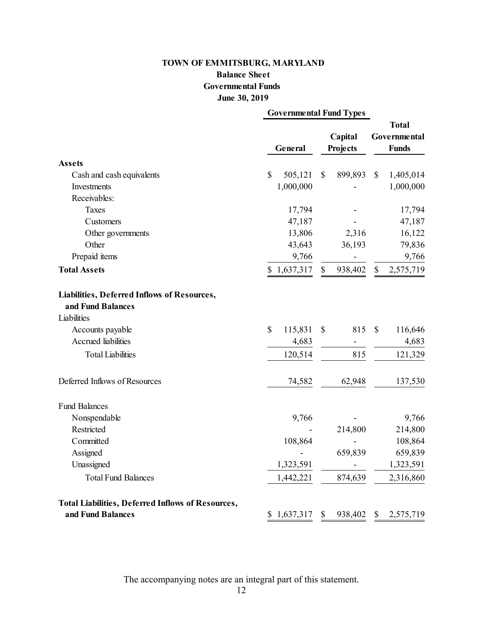## **Governmental Funds Balance Sheet June 30, 2019**

| TOWN OF EMMITSBURG, MARYLAND                                     |                                |              |          |                              |              |  |
|------------------------------------------------------------------|--------------------------------|--------------|----------|------------------------------|--------------|--|
| <b>Balance Sheet</b>                                             |                                |              |          |                              |              |  |
| <b>Governmental Funds</b><br>June 30, 2019                       |                                |              |          |                              |              |  |
|                                                                  | <b>Governmental Fund Types</b> |              |          |                              |              |  |
|                                                                  |                                |              |          | <b>Total</b><br>Governmental |              |  |
|                                                                  |                                |              | Capital  |                              |              |  |
|                                                                  | General                        |              | Projects |                              | <b>Funds</b> |  |
| <b>Assets</b>                                                    |                                |              |          |                              |              |  |
| Cash and cash equivalents                                        | \$<br>505,121                  | $\mathbb{S}$ | 899,893  | $\mathbb{S}$                 | 1,405,014    |  |
| Investments                                                      | 1,000,000                      |              |          |                              | 1,000,000    |  |
| Receivables:                                                     |                                |              |          |                              |              |  |
| <b>Taxes</b>                                                     | 17,794                         |              |          |                              | 17,794       |  |
| Customers                                                        | 47,187                         |              |          |                              | 47,187       |  |
| Other governments                                                | 13,806                         |              | 2,316    |                              | 16,122       |  |
| Other                                                            | 43,643                         |              | 36,193   |                              | 79,836       |  |
| Prepaid items                                                    | 9,766                          |              |          |                              | 9,766        |  |
| <b>Total Assets</b>                                              | 1,637,317<br>\$                | $\mathbb{S}$ | 938,402  | $\mathbb{S}$                 | 2,575,719    |  |
| Liabilities, Deferred Inflows of Resources,<br>and Fund Balances |                                |              |          |                              |              |  |
| Liabilities                                                      |                                |              |          |                              |              |  |
| Accounts payable                                                 | \$<br>115,831                  | \$           | 815      | $\mathcal{S}$                | 116,646      |  |
| Accrued liabilities                                              | 4,683                          |              |          |                              | 4,683        |  |
| <b>Total Liabilities</b>                                         | 120,514                        |              | 815      |                              | 121,329      |  |
| Deferred Inflows of Resources                                    | 74,582                         |              | 62,948   |                              | 137,530      |  |
| <b>Fund Balances</b>                                             |                                |              |          |                              |              |  |
| Nonspendable                                                     | 9,766                          |              |          |                              | 9,766        |  |
| Restricted                                                       |                                |              | 214,800  |                              | 214,800      |  |
| Committed                                                        | 108,864                        |              |          |                              | 108,864      |  |
| Assigned                                                         |                                |              | 659,839  |                              | 659,839      |  |
| Unassigned                                                       | 1,323,591                      |              |          |                              | 1,323,591    |  |
| <b>Total Fund Balances</b>                                       | 1,442,221                      |              | 874,639  |                              | 2,316,860    |  |
| <b>Total Liabilities, Deferred Inflows of Resources,</b>         |                                |              |          |                              |              |  |
| and Fund Balances                                                | 1,637,317<br>S.                | \$           | 938,402  | \$                           | 2,575,719    |  |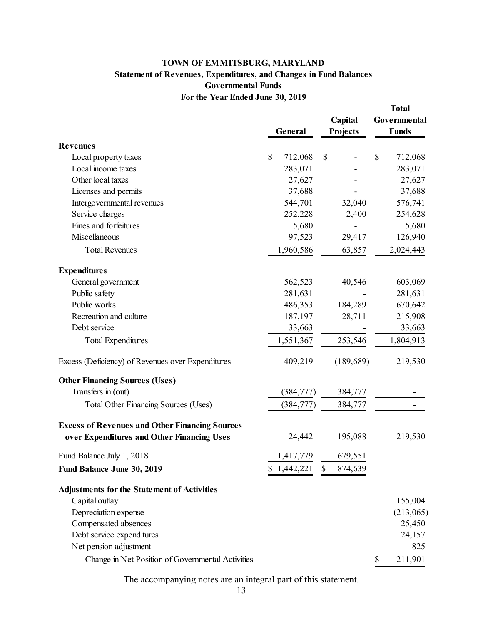#### **Statement of Revenues, Expenditures, and Changes in Fund Balances For the Year Ended June 30, 2019 Governmental Funds TOWN OF EMMITSBURG, MARYLAND**

<span id="page-16-0"></span>

|                                                       |                       |                     | <b>Total</b>                 |
|-------------------------------------------------------|-----------------------|---------------------|------------------------------|
|                                                       | General               | Capital<br>Projects | Governmental<br><b>Funds</b> |
|                                                       |                       |                     |                              |
| <b>Revenues</b>                                       |                       |                     |                              |
| Local property taxes                                  | \$<br>712,068         | \$                  | \$<br>712,068                |
| Local income taxes                                    | 283,071               |                     | 283,071                      |
| Other local taxes                                     | 27,627                |                     | 27,627                       |
| Licenses and permits                                  | 37,688                |                     | 37,688                       |
| Intergovernmental revenues                            | 544,701               | 32,040              | 576,741                      |
| Service charges                                       | 252,228               | 2,400               | 254,628                      |
| Fines and forfeitures                                 | 5,680                 |                     | 5,680                        |
| Miscellaneous                                         | 97,523                | 29,417              | 126,940                      |
| <b>Total Revenues</b>                                 | 1,960,586             | 63,857              | 2,024,443                    |
| <b>Expenditures</b>                                   |                       |                     |                              |
| General government                                    | 562,523               | 40,546              | 603,069                      |
| Public safety                                         | 281,631               |                     | 281,631                      |
| Public works                                          | 486,353               | 184,289             | 670,642                      |
| Recreation and culture                                | 187,197               | 28,711              | 215,908                      |
| Debt service                                          | 33,663                |                     | 33,663                       |
| <b>Total Expenditures</b>                             | 1,551,367             | 253,546             | 1,804,913                    |
| Excess (Deficiency) of Revenues over Expenditures     | 409,219               | (189, 689)          | 219,530                      |
| <b>Other Financing Sources (Uses)</b>                 |                       |                     |                              |
| Transfers in (out)                                    | (384, 777)            | 384,777             |                              |
| Total Other Financing Sources (Uses)                  | (384, 777)            | 384,777             |                              |
| <b>Excess of Revenues and Other Financing Sources</b> |                       |                     |                              |
| over Expenditures and Other Financing Uses            | 24,442                | 195,088             | 219,530                      |
| Fund Balance July 1, 2018                             | 1,417,779             | 679,551             |                              |
| Fund Balance June 30, 2019                            | \$1,442,221 \$874,639 |                     |                              |
| <b>Adjustments for the Statement of Activities</b>    |                       |                     |                              |
| Capital outlay                                        |                       |                     | 155,004                      |
| Depreciation expense                                  |                       |                     | (213,065)                    |
| Compensated absences                                  |                       |                     | 25,450                       |
| Debt service expenditures                             |                       |                     | 24,157                       |
| Net pension adjustment                                |                       |                     | 825                          |
| Change in Net Position of Governmental Activities     |                       |                     | \$<br>211,901                |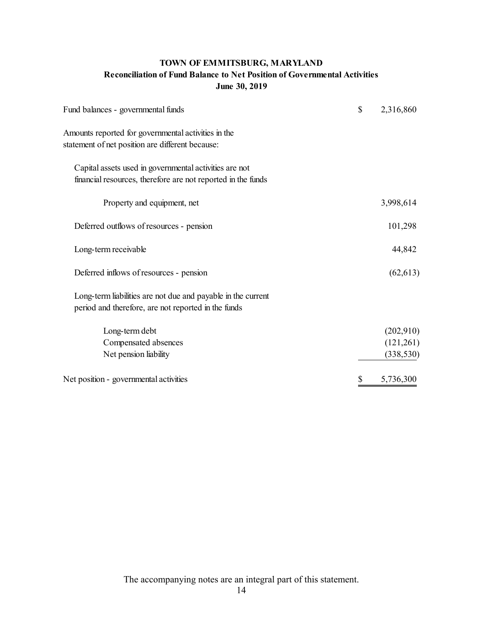### **TOWN OF EMMITSBURG, MARYLAND Reconciliation of Fund Balance to Net Position of Governmental Activities June 30, 2019**

| TOWN OF EMMITSBURG, MARYLAND<br><b>Reconciliation of Fund Balance to Net Position of Governmental Activities</b><br>June 30, 2019 |    |            |  |  |  |
|-----------------------------------------------------------------------------------------------------------------------------------|----|------------|--|--|--|
| Fund balances - governmental funds                                                                                                | \$ | 2,316,860  |  |  |  |
| Amounts reported for governmental activities in the<br>statement of net position are different because:                           |    |            |  |  |  |
| Capital assets used in governmental activities are not<br>financial resources, therefore are not reported in the funds            |    |            |  |  |  |
| Property and equipment, net                                                                                                       |    | 3,998,614  |  |  |  |
| Deferred outflows of resources - pension                                                                                          |    | 101,298    |  |  |  |
| Long-term receivable                                                                                                              |    | 44,842     |  |  |  |
| Deferred inflows of resources - pension                                                                                           |    | (62, 613)  |  |  |  |
| Long-term liabilities are not due and payable in the current<br>period and therefore, are not reported in the funds               |    |            |  |  |  |
| Long-term debt                                                                                                                    |    | (202,910)  |  |  |  |
| Compensated absences                                                                                                              |    | (121,261)  |  |  |  |
| Net pension liability                                                                                                             |    | (338, 530) |  |  |  |
| Net position - governmental activities                                                                                            | \$ | 5,736,300  |  |  |  |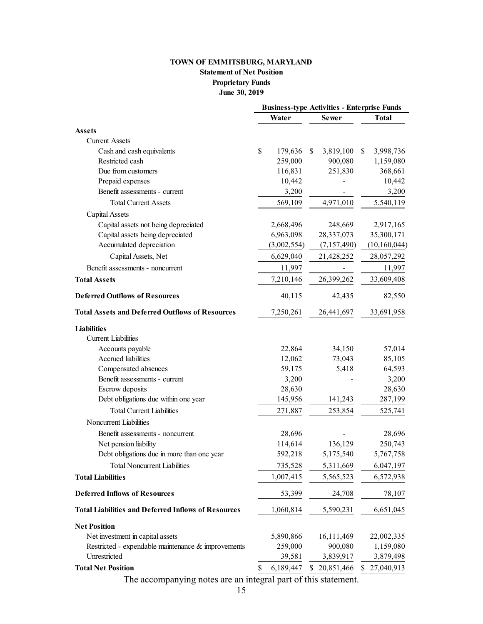## **Statement of Net Position Proprietary Funds June 30, 2019**

<span id="page-18-0"></span>

| TOWN OF EMMITSBURG, MARYLAND                               |                 |                      |                      |  |  |  |
|------------------------------------------------------------|-----------------|----------------------|----------------------|--|--|--|
| <b>Statement of Net Position</b>                           |                 |                      |                      |  |  |  |
| <b>Proprietary Funds</b>                                   |                 |                      |                      |  |  |  |
| June 30, 2019                                              |                 |                      |                      |  |  |  |
| <b>Business-type Activities - Enterprise Funds</b>         |                 |                      |                      |  |  |  |
|                                                            | Water           | <b>Total</b>         |                      |  |  |  |
|                                                            |                 | <b>Sewer</b>         |                      |  |  |  |
| <b>Assets</b><br><b>Current Assets</b>                     |                 |                      |                      |  |  |  |
|                                                            | \$<br>179,636   | \$                   | \$                   |  |  |  |
| Cash and cash equivalents<br>Restricted cash               | 259,000         | 3,819,100<br>900,080 | 3,998,736            |  |  |  |
| Due from customers                                         | 116,831         | 251,830              | 1,159,080<br>368,661 |  |  |  |
|                                                            | 10,442          |                      | 10,442               |  |  |  |
| Prepaid expenses<br>Benefit assessments - current          |                 |                      |                      |  |  |  |
|                                                            | 3,200           |                      | 3,200                |  |  |  |
| <b>Total Current Assets</b>                                | 569,109         | 4,971,010            | 5,540,119            |  |  |  |
| Capital Assets                                             |                 |                      |                      |  |  |  |
| Capital assets not being depreciated                       | 2,668,496       | 248,669              | 2,917,165            |  |  |  |
| Capital assets being depreciated                           | 6,963,098       | 28,337,073           | 35,300,171           |  |  |  |
| Accumulated depreciation                                   | (3,002,554)     | (7, 157, 490)        | (10, 160, 044)       |  |  |  |
| Capital Assets, Net                                        | 6,629,040       | 21,428,252           | 28,057,292           |  |  |  |
| Benefit assessments - noncurrent                           | 11,997          |                      |                      |  |  |  |
| <b>Total Assets</b>                                        | 7,210,146       | 26,399,262           | 33,609,408           |  |  |  |
| <b>Deferred Outflows of Resources</b>                      | 40,115          | 42,435               | 82,550               |  |  |  |
| <b>Total Assets and Deferred Outflows of Resources</b>     | 7,250,261       | 26,441,697           | 33,691,958           |  |  |  |
| <b>Liabilities</b>                                         |                 |                      |                      |  |  |  |
| <b>Current Liabilities</b>                                 |                 |                      |                      |  |  |  |
| Accounts payable                                           | 22,864          | 34,150               | 57,014               |  |  |  |
| Accrued liabilities                                        | 12,062          | 73,043               | 85,105               |  |  |  |
| Compensated absences                                       | 59,175          | 5,418                | 64,593               |  |  |  |
| Benefit assessments - current                              | 3,200           |                      | 3,200                |  |  |  |
| Escrow deposits                                            | 28,630          |                      | 28,630               |  |  |  |
| Debt obligations due within one year                       | 145,956         | 141,243              | 287,199              |  |  |  |
| <b>Total Current Liabilities</b>                           | 271,887         | 253,854              | 525,741              |  |  |  |
| Noncurrent Liabilities                                     |                 |                      |                      |  |  |  |
|                                                            |                 |                      |                      |  |  |  |
| Benefit assessments - noncurrent                           | 28,696          |                      | 28,696               |  |  |  |
| Net pension liability                                      | 114,614         | 136,129              | 250,743              |  |  |  |
| Debt obligations due in more than one year                 | 592,218         | 5,175,540            | 5,767,758            |  |  |  |
| <b>Total Noncurrent Liabilities</b>                        | 735,528         | 5,311,669            | 6,047,197            |  |  |  |
| <b>Total Liabilities</b>                                   | 1,007,415       | 5,565,523            | 6,572,938            |  |  |  |
| <b>Deferred Inflows of Resources</b>                       | 53,399          | 24,708               | 78,107               |  |  |  |
| <b>Total Liabilities and Deferred Inflows of Resources</b> | 1,060,814       | 5,590,231            | 6,651,045            |  |  |  |
| <b>Net Position</b>                                        |                 |                      |                      |  |  |  |
| Net investment in capital assets                           | 5,890,866       | 16,111,469           | 22,002,335           |  |  |  |
| Restricted - expendable maintenance & improvements         | 259,000         | 900,080              | 1,159,080            |  |  |  |
| Unrestricted                                               | 39,581          | 3,839,917            | 3,879,498            |  |  |  |
| <b>Total Net Position</b>                                  | 6,189,447<br>\$ | \$20,851,466         | \$27,040,913         |  |  |  |
|                                                            |                 |                      |                      |  |  |  |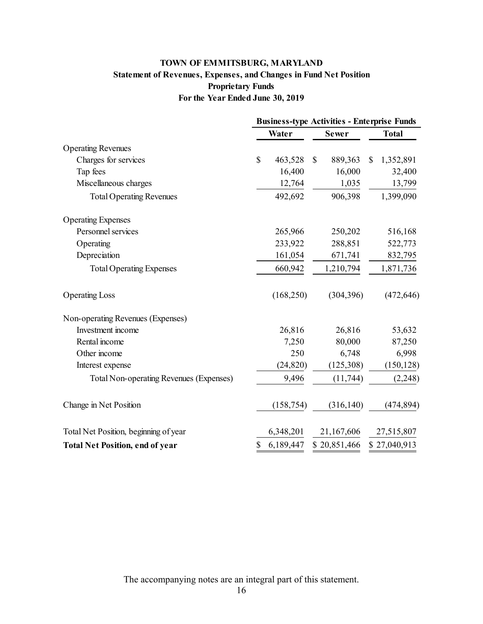### **Statement of Revenues, Expenses, and Changes in Fund Net Position For the Year Ended June 30, 2019 Proprietary Funds TOWN OF EMMITSBURG, MARYLAND**

|                                         | <b>Business-type Activities - Enterprise Funds</b> |            |              |              |    |              |
|-----------------------------------------|----------------------------------------------------|------------|--------------|--------------|----|--------------|
|                                         | Water                                              |            | <b>Sewer</b> |              |    | <b>Total</b> |
| <b>Operating Revenues</b>               |                                                    |            |              |              |    |              |
| Charges for services                    | \$                                                 | 463,528    | \$           | 889,363      | \$ | 1,352,891    |
| Tap fees                                |                                                    | 16,400     |              | 16,000       |    | 32,400       |
| Miscellaneous charges                   |                                                    | 12,764     |              | 1,035        |    | 13,799       |
| <b>Total Operating Revenues</b>         |                                                    | 492,692    |              | 906,398      |    | 1,399,090    |
| <b>Operating Expenses</b>               |                                                    |            |              |              |    |              |
| Personnel services                      |                                                    | 265,966    |              | 250,202      |    | 516,168      |
| Operating                               |                                                    | 233,922    |              | 288,851      |    | 522,773      |
| Depreciation                            |                                                    | 161,054    |              | 671,741      |    | 832,795      |
| <b>Total Operating Expenses</b>         |                                                    | 660,942    |              | 1,210,794    |    | 1,871,736    |
| <b>Operating Loss</b>                   |                                                    | (168, 250) |              | (304, 396)   |    | (472, 646)   |
| Non-operating Revenues (Expenses)       |                                                    |            |              |              |    |              |
| Investment income                       |                                                    | 26,816     |              | 26,816       |    | 53,632       |
| Rental income                           |                                                    | 7,250      |              | 80,000       |    | 87,250       |
| Other income                            |                                                    | 250        |              | 6,748        |    | 6,998        |
| Interest expense                        |                                                    | (24, 820)  |              | (125,308)    |    | (150, 128)   |
| Total Non-operating Revenues (Expenses) |                                                    | 9,496      |              | (11, 744)    |    | (2, 248)     |
| Change in Net Position                  |                                                    | (158, 754) |              | (316, 140)   |    | (474, 894)   |
| Total Net Position, beginning of year   |                                                    | 6,348,201  |              | 21,167,606   |    | 27,515,807   |
| <b>Total Net Position, end of year</b>  | \$                                                 | 6,189,447  |              | \$20,851,466 |    | \$27,040,913 |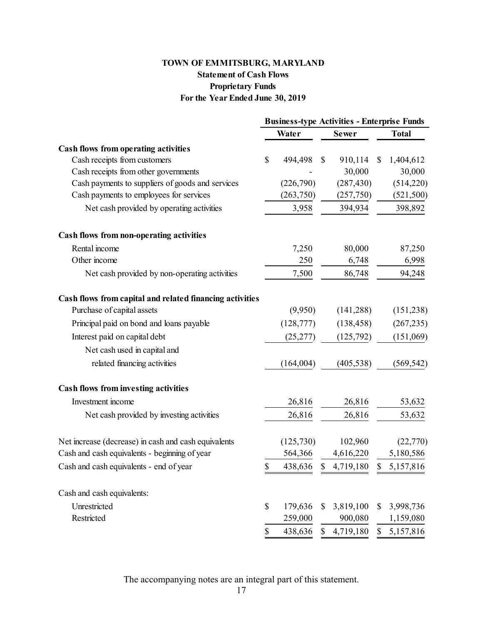## **For the Year Ended June 30, 2019 Statement of Cash Flows Proprietary Funds**

| TOWN OF EMMITSBURG, MARYLAND                             |              |              |                                                    |              |              |
|----------------------------------------------------------|--------------|--------------|----------------------------------------------------|--------------|--------------|
| <b>Statement of Cash Flows</b>                           |              |              |                                                    |              |              |
| <b>Proprietary Funds</b>                                 |              |              |                                                    |              |              |
| For the Year Ended June 30, 2019                         |              |              |                                                    |              |              |
|                                                          |              |              | <b>Business-type Activities - Enterprise Funds</b> |              |              |
|                                                          |              | Water        | <b>Sewer</b>                                       |              | <b>Total</b> |
| <b>Cash flows from operating activities</b>              |              |              |                                                    |              |              |
| Cash receipts from customers                             | $\mathbb{S}$ | 494,498      | \$<br>910,114                                      | $\mathbb{S}$ | 1,404,612    |
| Cash receipts from other governments                     |              |              | 30,000                                             |              | 30,000       |
| Cash payments to suppliers of goods and services         |              | (226,790)    | (287, 430)                                         |              | (514,220)    |
| Cash payments to employees for services                  |              | (263,750)    | (257,750)                                          |              | (521, 500)   |
| Net cash provided by operating activities                |              | 3,958        | 394,934                                            |              | 398,892      |
|                                                          |              |              |                                                    |              |              |
| Cash flows from non-operating activities                 |              |              |                                                    |              |              |
| Rental income<br>Other income                            |              | 7,250<br>250 | 80,000                                             |              | 87,250       |
|                                                          |              |              | 6,748                                              |              | 6,998        |
| Net cash provided by non-operating activities            |              | 7,500        | 86,748                                             |              | 94,248       |
| Cash flows from capital and related financing activities |              |              |                                                    |              |              |
| Purchase of capital assets                               |              | (9,950)      | (141, 288)                                         |              | (151, 238)   |
| Principal paid on bond and loans payable                 |              | (128, 777)   | (138, 458)                                         |              | (267, 235)   |
| Interest paid on capital debt                            |              | (25, 277)    | (125,792)                                          |              | (151,069)    |
| Net cash used in capital and                             |              |              |                                                    |              |              |
| related financing activities                             |              | (164,004)    | (405, 538)                                         |              | (569, 542)   |
| <b>Cash flows from investing activities</b>              |              |              |                                                    |              |              |
| Investment income                                        |              | 26,816       | 26,816                                             |              | 53,632       |
|                                                          |              |              |                                                    |              |              |
| Net cash provided by investing activities                |              | 26,816       | 26,816                                             |              | 53,632       |
| Net increase (decrease) in cash and cash equivalents     |              | (125, 730)   | 102,960                                            |              | (22,770)     |
| Cash and cash equivalents - beginning of year            |              | 564,366      | 4,616,220                                          |              | 5,180,586    |
| Cash and cash equivalents - end of year                  | \$           | 438,636      | \$<br>4,719,180                                    | \$           | 5,157,816    |
| Cash and cash equivalents:                               |              |              |                                                    |              |              |
| Unrestricted                                             | \$           | 179,636      | \$                                                 | \$           |              |
| Restricted                                               |              | 259,000      | 3,819,100<br>900,080                               |              | 3,998,736    |
|                                                          | \$           |              |                                                    | \$           | 1,159,080    |
|                                                          |              | 438,636      | \$<br>4,719,180                                    |              | 5,157,816    |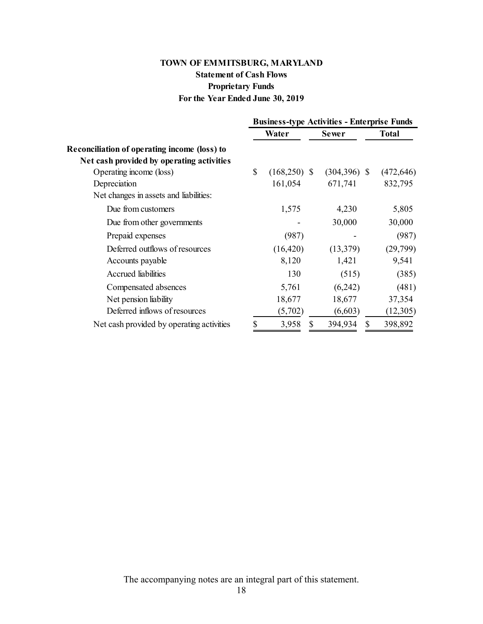### **For the Year Ended June 30, 2019 Statement of Cash Flows Proprietary Funds TOWN OF EMMITSBURG, MARYLAND**

|                                                     | <b>Business-type Activities - Enterprise Funds</b> |                |    |                 |    |              |
|-----------------------------------------------------|----------------------------------------------------|----------------|----|-----------------|----|--------------|
|                                                     |                                                    | Water          |    | <b>Sewer</b>    |    | <b>Total</b> |
| <b>Reconciliation of operating income (loss) to</b> |                                                    |                |    |                 |    |              |
| Net cash provided by operating activities           |                                                    |                |    |                 |    |              |
| Operating income (loss)                             | $\mathbb{S}$                                       | $(168,250)$ \$ |    | $(304, 396)$ \$ |    | (472, 646)   |
| Depreciation                                        |                                                    | 161,054        |    | 671,741         |    | 832,795      |
| Net changes in assets and liabilities:              |                                                    |                |    |                 |    |              |
| Due from customers                                  |                                                    | 1,575          |    | 4,230           |    | 5,805        |
| Due from other governments                          |                                                    |                |    | 30,000          |    | 30,000       |
| Prepaid expenses                                    |                                                    | (987)          |    |                 |    | (987)        |
| Deferred outflows of resources                      |                                                    | (16, 420)      |    | (13,379)        |    | (29,799)     |
| Accounts payable                                    |                                                    | 8,120          |    | 1,421           |    | 9,541        |
| Accrued liabilities                                 |                                                    | 130            |    | (515)           |    | (385)        |
| Compensated absences                                |                                                    | 5,761          |    | (6,242)         |    | (481)        |
| Net pension liability                               |                                                    | 18,677         |    | 18,677          |    | 37,354       |
| Deferred inflows of resources                       |                                                    | (5,702)        |    | (6,603)         |    | (12,305)     |
| Net cash provided by operating activities           | \$                                                 | 3,958          | \$ | 394,934         | \$ | 398,892      |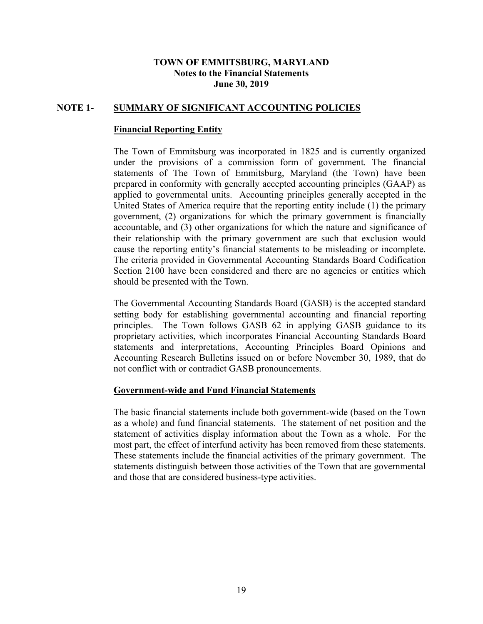# **Notes to the Financial Statements June 30, 2019**

#### <span id="page-22-0"></span>**NOTE 1- SUMMARY OF SIGNIFICANT ACCOUNTING POLICIES**

#### **Financial Reporting Entity**

 applied to governmental units. Accounting principles generally accepted in the United States of America require that the reporting entity include (1) the primary cause the reporting entity's financial statements to be misleading or incomplete. **TOWN OF EMMITSBURG, MARYLAND**<br>
Notes to the Financial Statements<br>
June 30, 2019<br> **Reporting Entity**<br> **Reporting Entity**<br>
of Emmitsburg was incorporated in 1825 an<br>
provisions of a commission form of govern<br>
of The Town of The Town of Emmitsburg was incorporated in 1825 and is currently organized under the provisions of a commission form of government. The financial statements of The Town of Emmitsburg, Maryland (the Town) have been prepared in conformity with generally accepted accounting principles (GAAP) as government, (2) organizations for which the primary government is financially accountable, and (3) other organizations for which the nature and significance of their relationship with the primary government are such that exclusion would The criteria provided in Governmental Accounting Standards Board Codification Section 2100 have been considered and there are no agencies or entities which should be presented with the Town.

 principles. The Town follows GASB 62 in applying GASB guidance to its The Governmental Accounting Standards Board (GASB) is the accepted standard setting body for establishing governmental accounting and financial reporting proprietary activities, which incorporates Financial Accounting Standards Board statements and interpretations, Accounting Principles Board Opinions and Accounting Research Bulletins issued on or before November 30, 1989, that do not conflict with or contradict GASB pronouncements.

#### **Government-wide and Fund Financial Statements**

 as a whole) and fund financial statements. The statement of net position and the The basic financial statements include both government-wide (based on the Town statement of activities display information about the Town as a whole. For the most part, the effect of interfund activity has been removed from these statements. These statements include the financial activities of the primary government. The statements distinguish between those activities of the Town that are governmental and those that are considered business-type activities.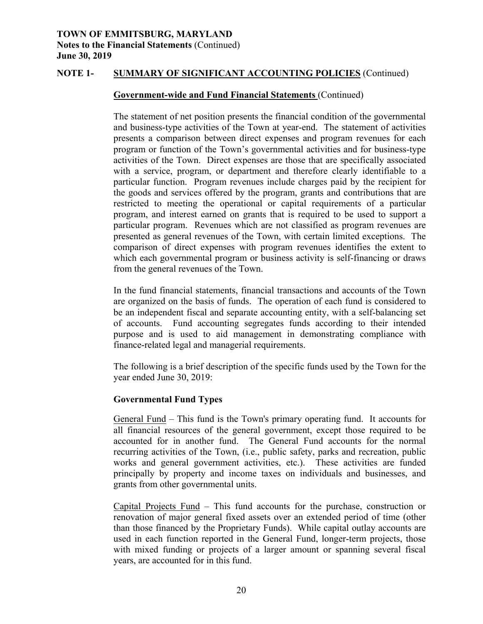#### **Government-wide and Fund Financial Statements** (Continued)

 The statement of net position presents the financial condition of the governmental and business-type activities of the Town at year-end. The statement of activities activities of the Town. Direct expenses are those that are specifically associated particular function. Program revenues include charges paid by the recipient for presented as general revenues of the Town, with certain limited exceptions. The comparison of direct expenses with program revenues identifies the extent to **TOWN OF EMMITISBURG, MARYLAND**<br>**TOWEN OF EMMITSBURG, MARYLAND**<br>**TOWEN CONDERN SCALING (Continued)**<br>June 30, 2019<br>**Shorts of the Financial Statements (Continued)**<br>June 30, 2019<br>**Government-wide and Fund Financial Statement** presents a comparison between direct expenses and program revenues for each program or function of the Town's governmental activities and for business-type with a service, program, or department and therefore clearly identifiable to a the goods and services offered by the program, grants and contributions that are restricted to meeting the operational or capital requirements of a particular program, and interest earned on grants that is required to be used to support a particular program. Revenues which are not classified as program revenues are which each governmental program or business activity is self-financing or draws from the general revenues of the Town.

In the fund financial statements, financial transactions and accounts of the Town are organized on the basis of funds. The operation of each fund is considered to be an independent fiscal and separate accounting entity, with a self-balancing set of accounts. Fund accounting segregates funds according to their intended purpose and is used to aid management in demonstrating compliance with finance-related legal and managerial requirements.

The following is a brief description of the specific funds used by the Town for the year ended June 30, 2019:

#### **Governmental Fund Types**

General Fund – This fund is the Town's primary operating fund. It accounts for all financial resources of the general government, except those required to be recurring activities of the Town, (i.e., public safety, parks and recreation, public accounted for in another fund. The General Fund accounts for the normal works and general government activities, etc.). These activities are funded principally by property and income taxes on individuals and businesses, and grants from other governmental units.

 Capital Projects Fund – This fund accounts for the purchase, construction or renovation of major general fixed assets over an extended period of time (other with mixed funding or projects of a larger amount or spanning several fiscal than those financed by the Proprietary Funds). While capital outlay accounts are used in each function reported in the General Fund, longer-term projects, those years, are accounted for in this fund.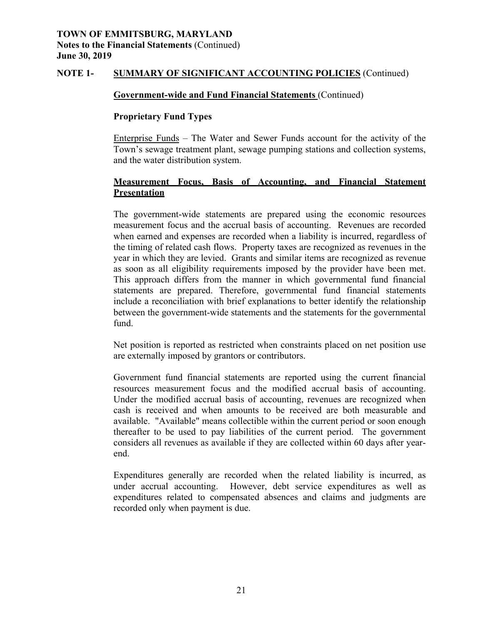#### **Government-wide and Fund Financial Statements** (Continued)

#### **Proprietary Fund Types**

Enterprise Funds – The Water and Sewer Funds account for the activity of the Town's sewage treatment plant, sewage pumping stations and collection systems, and the water distribution system.

#### **Measurement Focus, Basis of Accounting, and Financial Statement Presentation**

**TOWN OF EMMITSBURG, MARYLAND CONSTRANT (TOWN)**<br> **TOWN OF EXAMPLES (Continued)**<br> **Jone 30, 2019**<br> **SOCKER ARYLAND OF SIGNIFICANT ACCOUNTING POLICIES** (Continued)<br> **Jone 30, 2019**<br> **SOCKER 1. SOCKER SURGER CONTING TO SURG** The government-wide statements are prepared using the economic resources measurement focus and the accrual basis of accounting. Revenues are recorded when earned and expenses are recorded when a liability is incurred, regardless of the timing of related cash flows. Property taxes are recognized as revenues in the year in which they are levied. Grants and similar items are recognized as revenue as soon as all eligibility requirements imposed by the provider have been met. This approach differs from the manner in which governmental fund financial statements are prepared. Therefore, governmental fund financial statements include a reconciliation with brief explanations to better identify the relationship between the government-wide statements and the statements for the governmental fund.

 Net position is reported as restricted when constraints placed on net position use are externally imposed by grantors or contributors.

 available. "Available" means collectible within the current period or soon enough thereafter to be used to pay liabilities of the current period. The government Government fund financial statements are reported using the current financial resources measurement focus and the modified accrual basis of accounting. Under the modified accrual basis of accounting, revenues are recognized when cash is received and when amounts to be received are both measurable and considers all revenues as available if they are collected within 60 days after yearend.

 Expenditures generally are recorded when the related liability is incurred, as under accrual accounting. However, debt service expenditures as well as expenditures related to compensated absences and claims and judgments are recorded only when payment is due.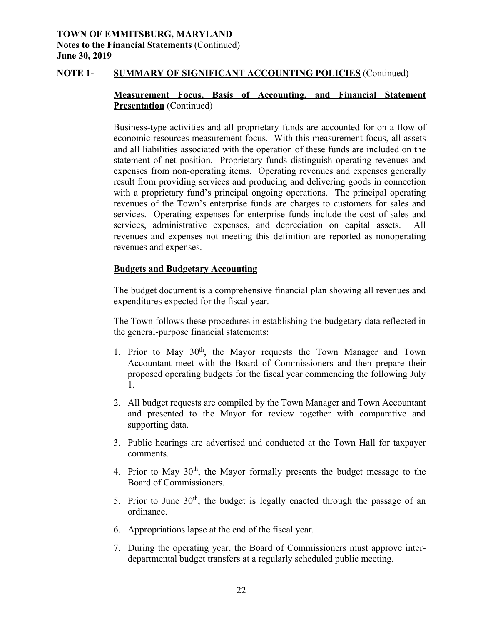#### **NOTE 1- SUMMARY OF SIGNIFICANT ACCOUNTING POLICIES** (Continued)

#### **Measurement Focus, Basis of Accounting, and Financial Statement Presentation** (Continued)

 expenses from non-operating items. Operating revenues and expenses generally Business-type activities and all proprietary funds are accounted for on a flow of economic resources measurement focus. With this measurement focus, all assets and all liabilities associated with the operation of these funds are included on the statement of net position. Proprietary funds distinguish operating revenues and result from providing services and producing and delivering goods in connection with a proprietary fund's principal ongoing operations. The principal operating revenues of the Town's enterprise funds are charges to customers for sales and services. Operating expenses for enterprise funds include the cost of sales and services, administrative expenses, and depreciation on capital assets. All revenues and expenses not meeting this definition are reported as nonoperating revenues and expenses.

#### **Budgets and Budgetary Accounting**

The budget document is a comprehensive financial plan showing all revenues and expenditures expected for the fiscal year.

The Town follows these procedures in establishing the budgetary data reflected in the general-purpose financial statements:

- 1. Prior to May  $30<sup>th</sup>$ , the Mayor requests the Town Manager and Town Accountant meet with the Board of Commissioners and then prepare their proposed operating budgets for the fiscal year commencing the following July 1.
- 2. All budget requests are compiled by the Town Manager and Town Accountant and presented to the Mayor for review together with comparative and supporting data.
- 3. Public hearings are advertised and conducted at the Town Hall for taxpayer comments.
- 4. Prior to May  $30<sup>th</sup>$ , the Mayor formally presents the budget message to the Board of Commissioners.
- 5. Prior to June  $30<sup>th</sup>$ , the budget is legally enacted through the passage of an ordinance.
- 6. Appropriations lapse at the end of the fiscal year.
- 7. During the operating year, the Board of Commissioners must approve interdepartmental budget transfers at a regularly scheduled public meeting.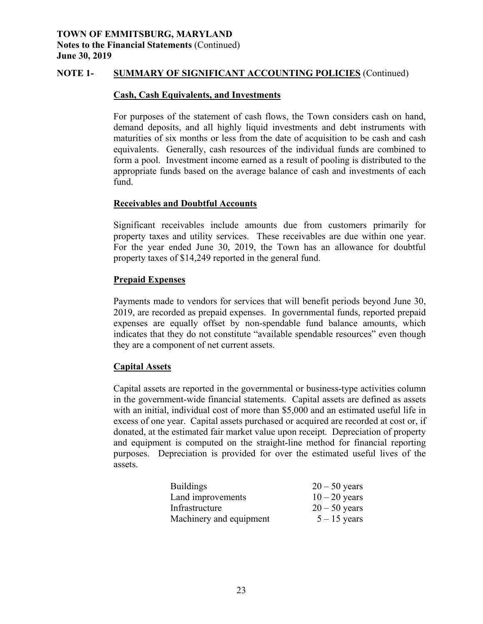#### **Cash, Cash Equivalents, and Investments**

 maturities of six months or less from the date of acquisition to be cash and cash form a pool. Investment income earned as a result of pooling is distributed to the For purposes of the statement of cash flows, the Town considers cash on hand, demand deposits, and all highly liquid investments and debt instruments with equivalents. Generally, cash resources of the individual funds are combined to appropriate funds based on the average balance of cash and investments of each fund.

#### **Receivables and Doubtful Accounts**

 property taxes and utility services. These receivables are due within one year. For the year ended June 30, 2019, the Town has an allowance for doubtful Significant receivables include amounts due from customers primarily for property taxes of \$14,249 reported in the general fund.

#### **Prepaid Expenses**

Payments made to vendors for services that will benefit periods beyond June 30, 2019, are recorded as prepaid expenses. In governmental funds, reported prepaid expenses are equally offset by non-spendable fund balance amounts, which indicates that they do not constitute "available spendable resources" even though they are a component of net current assets.

#### **Capital Assets**

 Capital assets are reported in the governmental or business-type activities column purposes. Depreciation is provided for over the estimated useful lives of the rities of six months or less from the date of acquisition to be cash and cardinats. Generally, cash resources of the individual funds are combined and appol. Investment income carned as a result of pooling is distributed t in the government-wide financial statements. Capital assets are defined as assets with an initial, individual cost of more than \$5,000 and an estimated useful life in excess of one year. Capital assets purchased or acquired are recorded at cost or, if donated, at the estimated fair market value upon receipt. Depreciation of property and equipment is computed on the straight-line method for financial reporting assets.

| <b>Buildings</b>        | $20 - 50$ years |
|-------------------------|-----------------|
| Land improvements       | $10 - 20$ years |
| Infrastructure          | $20 - 50$ years |
| Machinery and equipment | $5 - 15$ years  |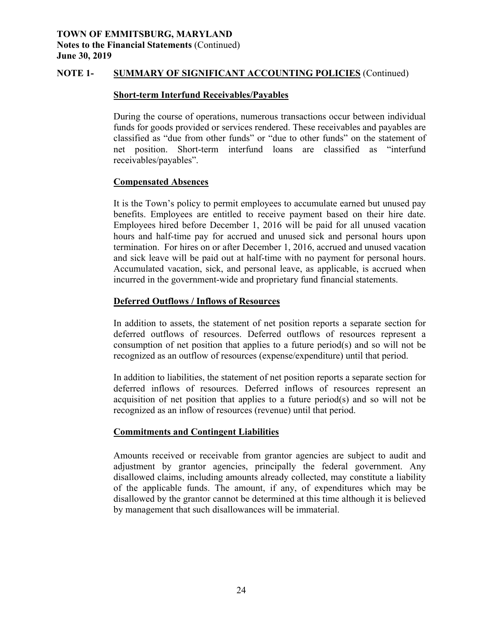#### **Short-term Interfund Receivables/Payables**

During the course of operations, numerous transactions occur between individual funds for goods provided or services rendered. These receivables and payables are classified as "due from other funds" or "due to other funds" on the statement of net position. Short-term interfund loans are classified as "interfund receivables/payables".

#### **Compensated Absences**

It is the Town's policy to permit employees to accumulate earned but unused pay benefits. Employees are entitled to receive payment based on their hire date. Employees hired before December 1, 2016 will be paid for all unused vacation hours and half-time pay for accrued and unused sick and personal hours upon termination. For hires on or after December 1, 2016, accrued and unused vacation and sick leave will be paid out at half-time with no payment for personal hours. Accumulated vacation, sick, and personal leave, as applicable, is accrued when incurred in the government-wide and proprietary fund financial statements.

#### **Deferred Outflows / Inflows of Resources**

In addition to assets, the statement of net position reports a separate section for deferred outflows of resources. Deferred outflows of resources represent a consumption of net position that applies to a future period(s) and so will not be recognized as an outflow of resources (expense/expenditure) until that period.

In addition to liabilities, the statement of net position reports a separate section for deferred inflows of resources. Deferred inflows of resources represent an acquisition of net position that applies to a future period(s) and so will not be recognized as an inflow of resources (revenue) until that period.

#### **Commitments and Contingent Liabilities**

 disallowed claims, including amounts already collected, may constitute a liability Amounts received or receivable from grantor agencies are subject to audit and adjustment by grantor agencies, principally the federal government. Any of the applicable funds. The amount, if any, of expenditures which may be disallowed by the grantor cannot be determined at this time although it is believed by management that such disallowances will be immaterial.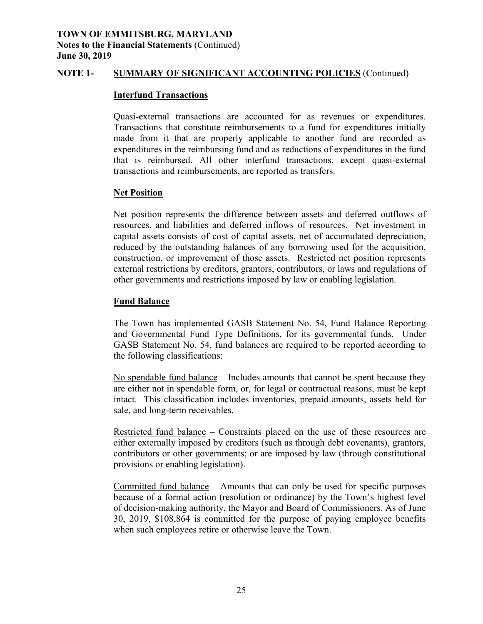#### **Interfund Transactions**

Quasi-external transactions are accounted for as revenues or expenditures. Transactions that constitute reimbursements to a fund for expenditures initially made from it that are properly applicable to another fund are recorded as expenditures in the reimbursing fund and as reductions of expenditures in the fund that is reimbursed. All other interfund transactions, except quasi-external transactions and reimbursements, are reported as transfers.

#### **Net Position**

Net position represents the difference between assets and deferred outflows of resources, and liabilities and deferred inflows of resources. Net investment in capital assets consists of cost of capital assets, net of accumulated depreciation, reduced by the outstanding balances of any borrowing used for the acquisition, construction, or improvement of those assets. Restricted net position represents external restrictions by creditors, grantors, contributors, or laws and regulations of other governments and restrictions imposed by law or enabling legislation.

#### **Fund Balance**

The Town has implemented GASB Statement No. 54, Fund Balance Reporting and Governmental Fund Type Definitions, for its governmental funds. Under GASB Statement No. 54, fund balances are required to be reported according to the following classifications:

 intact. This classification includes inventories, prepaid amounts, assets held for sale, and long-term receivables. No spendable fund balance – Includes amounts that cannot be spent because they are either not in spendable form, or, for legal or contractual reasons, must be kept

Restricted fund balance – Constraints placed on the use of these resources are either externally imposed by creditors (such as through debt covenants), grantors, contributors or other governments; or are imposed by law (through constitutional provisions or enabling legislation).

Committed fund balance – Amounts that can only be used for specific purposes because of a formal action (resolution or ordinance) by the Town's highest level of decision-making authority, the Mayor and Board of Commissioners. As of June 30, 2019, \$108,864 is committed for the purpose of paying employee benefits when such employees retire or otherwise leave the Town.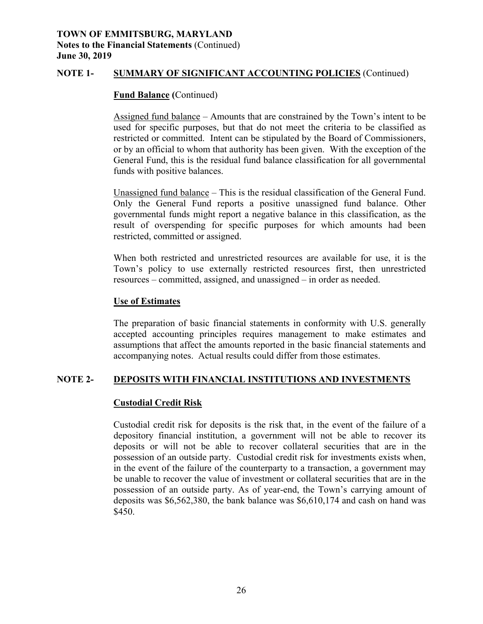# **Notes to the Financial Statements** (Continued) **June 30, 2019**

#### **NOTE 1- SUMMARY OF SIGNIFICANT ACCOUNTING POLICIES** (Continued)

#### **Fund Balance (**Continued)

 restricted or committed. Intent can be stipulated by the Board of Commissioners, Assigned fund balance – Amounts that are constrained by the Town's intent to be used for specific purposes, but that do not meet the criteria to be classified as or by an official to whom that authority has been given. With the exception of the General Fund, this is the residual fund balance classification for all governmental funds with positive balances.

Unassigned fund balance – This is the residual classification of the General Fund. Only the General Fund reports a positive unassigned fund balance. Other governmental funds might report a negative balance in this classification, as the result of overspending for specific purposes for which amounts had been restricted, committed or assigned.

 When both restricted and unrestricted resources are available for use, it is the When both restricted and unrestricted resources are available for use, it is the Town's policy to use externally restricted resources first, then unrestricted resources – committed, assigned, and unassigned – in order as needed.

#### **Use of Estimates**

The preparation of basic financial statements in conformity with U.S. generally accepted accounting principles requires management to make estimates and assumptions that affect the amounts reported in the basic financial statements and accompanying notes. Actual results could differ from those estimates.

#### **DEPOSITS WITH FINANCIAL INSTITUTIONS AND INVESTMENTS NOTE 2-**

#### **Custodial Credit Risk**

 depository financial institution, a government will not be able to recover its deposits or will not be able to recover collateral securities that are in the in the event of the failure of the counterparty to a transaction, a government may be unable to recover the value of investment or collateral securities that are in the **TOWN OF EMMITSBURG, MARYLAND**<br> **Notes to the Financial Statements (Continued)**<br> **Nore 30, 2019**<br> **Sum 30, 2019**<br> **Tow Balance (Continued)**<br> **Example 11**<br> **EXEMIFICAN**<br> **EXEMIFICAN**<br> **EXEMIFICAN**<br> **EXEMIFICAN**<br> **EXEMIFICAN** Custodial credit risk for deposits is the risk that, in the event of the failure of a possession of an outside party. Custodial credit risk for investments exists when, possession of an outside party. As of year-end, the Town's carrying amount of deposits was \$6,562,380, the bank balance was \$6,610,174 and cash on hand was \$450.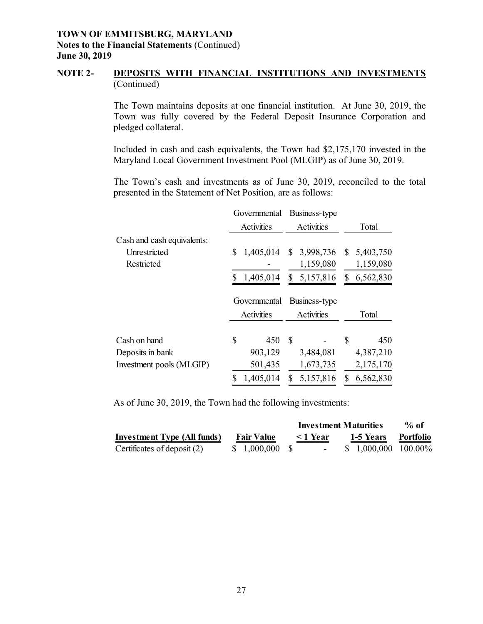#### **NOTE 2- DEPOSITS WITH FINANCIAL INSTITUTIONS AND INVESTMENTS** (Continued)

The Town maintains deposits at one financial institution. At June 30, 2019, the Town was fully covered by the Federal Deposit Insurance Corporation and pledged collateral.

Included in cash and cash equivalents, the Town had \$2,175,170 invested in the Maryland Local Government Investment Pool (MLGIP) as of June 30, 2019.

The Town's cash and investments as of June 30, 2019, reconciled to the total presented in the Statement of Net Position, are as follows:

|                            | Governmental    | Business-type   |                 |
|----------------------------|-----------------|-----------------|-----------------|
|                            | Activities      | Activities      | Total           |
| Cash and cash equivalents: |                 |                 |                 |
| Unrestricted               | 1,405,014<br>\$ | \$3,998,736     | 5,403,750<br>S. |
| Restricted                 |                 | 1,159,080       | 1,159,080       |
|                            | 1,405,014<br>\$ | 5,157,816<br>\$ | 6,562,830<br>S. |
|                            | Governmental    | Business-type   |                 |
|                            | Activities      | Activities      | Total           |
| Cash on hand               | \$<br>450       | <b>S</b>        | \$<br>450       |
| Deposits in bank           | 903,129         | 3,484,081       | 4,387,210       |
| Investment pools (MLGIP)   | 501,435         | 1,673,735       | 2,175,170       |
|                            | 1,405,014       | 5,157,816       | 6,562,830       |

As of June 30, 2019, the Town had the following investments:

|                                    |                   |               | <b>Investment Maturities</b> | $%$ of    |
|------------------------------------|-------------------|---------------|------------------------------|-----------|
| <b>Investment Type (All funds)</b> | <b>Fair Value</b> | $\leq$ 1 Year | 1-5 Years                    | Portfolio |
| Certificates of deposit $(2)$      | \$ 1,000,000 \$   |               | $$1,000,000 100.00\%$        |           |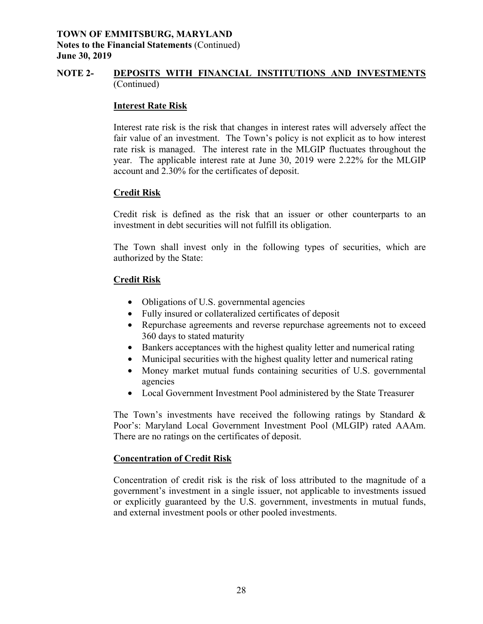#### **NOTE 2- DEPOSITS WITH FINANCIAL INSTITUTIONS AND INVESTMENTS** (Continued)

#### **Interest Rate Risk**

Interest rate risk is the risk that changes in interest rates will adversely affect the fair value of an investment. The Town's policy is not explicit as to how interest rate risk is managed. The interest rate in the MLGIP fluctuates throughout the year. The applicable interest rate at June 30, 2019 were 2.22% for the MLGIP account and 2.30% for the certificates of deposit.

#### **Credit Risk**

Credit risk is defined as the risk that an issuer or other counterparts to an investment in debt securities will not fulfill its obligation.

The Town shall invest only in the following types of securities, which are authorized by the State:

#### **Credit Risk**

- Obligations of U.S. governmental agencies
- Fully insured or collateralized certificates of deposit
- Repurchase agreements and reverse repurchase agreements not to exceed 360 days to stated maturity
- Bankers acceptances with the highest quality letter and numerical rating
- Municipal securities with the highest quality letter and numerical rating
- Money market mutual funds containing securities of U.S. governmental agencies
- Local Government Investment Pool administered by the State Treasurer

 Poor's: Maryland Local Government Investment Pool (MLGIP) rated AAAm. The Town's investments have received the following ratings by Standard  $\&$ There are no ratings on the certificates of deposit.

#### **Concentration of Credit Risk**

Concentration of credit risk is the risk of loss attributed to the magnitude of a government's investment in a single issuer, not applicable to investments issued or explicitly guaranteed by the U.S. government, investments in mutual funds, and external investment pools or other pooled investments.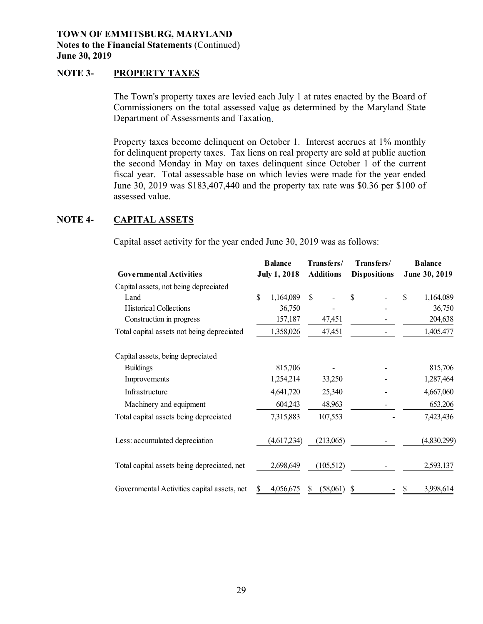#### **NOTE 3- PROPERTY TAXES**

 The Town's property taxes are levied each July 1 at rates enacted by the Board of Commissioners on the total assessed value as determined by the Maryland State Department of Assessments and Taxation.

roperty taxes are levied<br>
rs on the total assessed<br>
f Assessments and Taxat<br>
i become delinquent on<br>
property taxes. Tax lie<br>
onday in May on taxes<br>
otal assessable base on<br>
was \$183,407,440 and<br>
..<br>
SSETS<br>
ctivity for the Property taxes become delinquent on October 1. Interest accrues at 1% monthly for delinquent property taxes. Tax liens on real property are sold at public auction the second Monday in May on taxes delinquent since October 1 of the current fiscal year. Total assessable base on which levies were made for the year ended June 30, 2019 was \$183,407,440 and the property tax rate was \$0.36 per \$100 of assessed value.

#### **NOTE 4- CAPITAL ASSETS**

Capital asset activity for the year ended June 30, 2019 was as follows:

|                                             |              | <b>Balance</b>      | Transfers/       |    | Transfers/          | <b>Balance</b>  |
|---------------------------------------------|--------------|---------------------|------------------|----|---------------------|-----------------|
| <b>Governmental Activities</b>              |              | <b>July 1, 2018</b> | <b>Additions</b> |    | <b>Dispositions</b> | June 30, 2019   |
| Capital assets, not being depreciated       |              |                     |                  |    |                     |                 |
| Land                                        | $\mathbb{S}$ | 1,164,089           | \$               | \$ |                     | \$<br>1,164,089 |
| <b>Historical Collections</b>               |              | 36,750              |                  |    |                     | 36,750          |
| Construction in progress                    |              | 157,187             | 47,451           |    |                     | 204,638         |
| Total capital assets not being depreciated  |              | 1,358,026           | 47,451           |    |                     | 1,405,477       |
| Capital assets, being depreciated           |              |                     |                  |    |                     |                 |
| <b>Buildings</b>                            |              | 815,706             |                  |    |                     | 815,706         |
| Improvements                                |              | 1,254,214           | 33,250           |    |                     | 1,287,464       |
| Infrastructure                              |              | 4,641,720           | 25,340           |    |                     | 4,667,060       |
| Machinery and equipment                     |              | 604,243             | 48,963           |    |                     | 653,206         |
| Total capital assets being depreciated      |              | 7,315,883           | 107,553          |    |                     | 7,423,436       |
| Less: accumulated depreciation              |              | (4,617,234)         | (213,065)        |    |                     | (4,830,299)     |
| Total capital assets being depreciated, net |              | 2,698,649           | (105,512)        |    |                     | 2,593,137       |
| Governmental Activities capital assets, net |              | 4,056,675           | (58,061)         | S  |                     | 3,998,614       |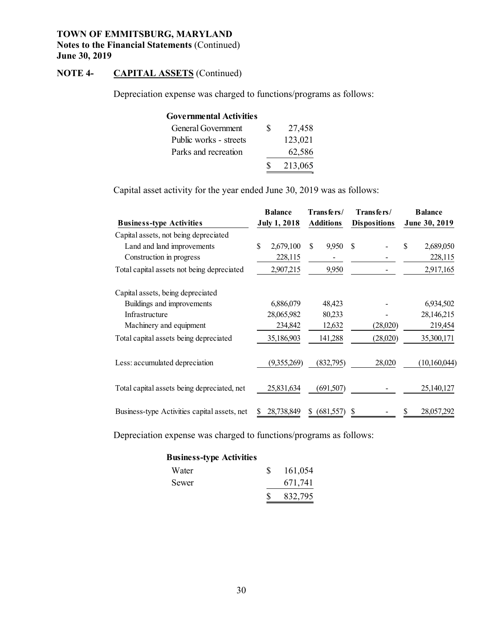#### **NOTE 4- CAPITAL ASSETS** (Continued)

Depreciation expense was charged to functions/programs as follows:

| <b>Governmental Activities</b>           |                     |   |
|------------------------------------------|---------------------|---|
| General Government                       | \$<br>27,458        |   |
| Public works - streets                   | 123,021             |   |
| Parks and recreation                     | 62,586              |   |
|                                          | 213,065             |   |
| activity for the year ended June 30, 201 |                     |   |
|                                          | <b>Balance</b>      | T |
| <b>Activities</b>                        | <b>July 1, 2018</b> | A |

Capital asset activity for the year ended June 30, 2019 was as follows:

|                                              | <b>Balance</b>      |             | Transfers/       |            | Transfers/          |          | <b>Balance</b> |              |
|----------------------------------------------|---------------------|-------------|------------------|------------|---------------------|----------|----------------|--------------|
| <b>Business-type Activities</b>              | <b>July 1, 2018</b> |             | <b>Additions</b> |            | <b>Dispositions</b> |          | June 30, 2019  |              |
| Capital assets, not being depreciated        |                     |             |                  |            |                     |          |                |              |
| Land and land improvements                   | \$                  | 2,679,100   | S.               | 9,950      | -S                  |          | \$             | 2,689,050    |
| Construction in progress                     |                     | 228,115     |                  |            |                     |          |                | 228,115      |
| Total capital assets not being depreciated   |                     | 2,907,215   |                  | 9,950      |                     |          |                | 2,917,165    |
| Capital assets, being depreciated            |                     |             |                  |            |                     |          |                |              |
| Buildings and improvements                   |                     | 6,886,079   |                  | 48,423     |                     |          |                | 6,934,502    |
| Infrastructure                               |                     | 28,065,982  |                  | 80,233     |                     |          |                | 28,146,215   |
| Machinery and equipment                      |                     | 234,842     |                  | 12,632     |                     | (28,020) |                | 219,454      |
| Total capital assets being depreciated       |                     | 35,186,903  |                  | 141,288    |                     | (28,020) |                | 35,300,171   |
| Less: accumulated depreciation               |                     | (9,355,269) |                  | (832,795)  |                     | 28,020   |                | (10,160,044) |
| Total capital assets being depreciated, net  |                     | 25,831,634  |                  | (691, 507) |                     |          |                | 25,140,127   |
| Business-type Activities capital assets, net |                     | 28,738,849  | S                | (681, 557) | S                   |          |                | 28,057,292   |

Depreciation expense was charged to functions/programs as follows:

#### **Business-type Activities**

| Water | 161,054 |
|-------|---------|
| Sewer | 671,741 |
|       | 832,795 |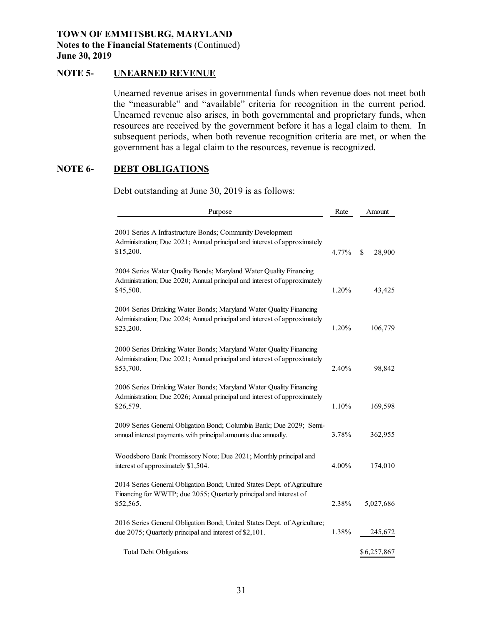#### **NOTE 5- UNEARNED REVENUE**

 resources are received by the government before it has a legal claim to them. In subsequent periods, when both revenue recognition criteria are met, or when the Unearned revenue arises in governmental funds when revenue does not meet both the "measurable" and "available" criteria for recognition in the current period. Unearned revenue also arises, in both governmental and proprietary funds, when government has a legal claim to the resources, revenue is recognized.

#### **NOTE 6- DEBT OBLIGATIONS**

Debt outstanding at June 30, 2019 is as follows:

| Purpose                                                                                                                                                     | Rate  | Amount       |
|-------------------------------------------------------------------------------------------------------------------------------------------------------------|-------|--------------|
| 2001 Series A Infrastructure Bonds; Community Development<br>Administration; Due 2021; Annual principal and interest of approximately<br>\$15,200.          | 4.77% | \$<br>28,900 |
| 2004 Series Water Quality Bonds; Maryland Water Quality Financing<br>Administration; Due 2020; Annual principal and interest of approximately<br>\$45,500.  | 1.20% | 43,425       |
| 2004 Series Drinking Water Bonds; Maryland Water Quality Financing<br>Administration; Due 2024; Annual principal and interest of approximately<br>\$23,200. | 1.20% | 106,779      |
| 2000 Series Drinking Water Bonds; Maryland Water Quality Financing<br>Administration; Due 2021; Annual principal and interest of approximately<br>\$53,700. | 2.40% | 98,842       |
| 2006 Series Drinking Water Bonds; Maryland Water Quality Financing<br>Administration; Due 2026; Annual principal and interest of approximately<br>\$26,579. | 1.10% | 169,598      |
| 2009 Series General Obligation Bond; Columbia Bank; Due 2029; Semi-<br>annual interest payments with principal amounts due annually.                        | 3.78% | 362,955      |
| Woodsboro Bank Promissory Note; Due 2021; Monthly principal and<br>interest of approximately \$1,504.                                                       | 4.00% | 174,010      |
| 2014 Series General Obligation Bond; United States Dept. of Agriculture<br>Financing for WWTP; due 2055; Quarterly principal and interest of<br>\$52,565.   | 2.38% | 5,027,686    |
| 2016 Series General Obligation Bond; United States Dept. of Agriculture;<br>due 2075; Quarterly principal and interest of \$2,101.                          | 1.38% | 245,672      |
| <b>Total Debt Obligations</b>                                                                                                                               |       | \$6,257,867  |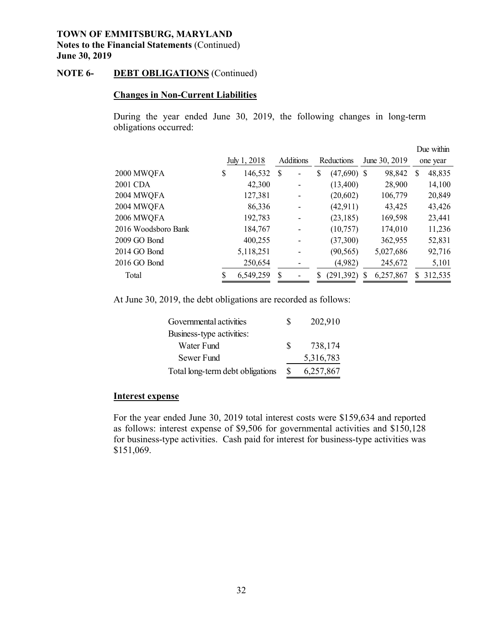#### **NOTE 6- DEBT OBLIGATIONS** (Continued)

#### **Changes in Non-Current Liabilities**

During the year ended June 30, 2019, the following changes in long-term obligations occurred:

|                     |               |                  |   |            |               |               |           |          | Due within |
|---------------------|---------------|------------------|---|------------|---------------|---------------|-----------|----------|------------|
|                     | July 1, 2018  | <b>Additions</b> |   | Reductions |               | June 30, 2019 |           | one year |            |
| 2000 MWQFA          | \$<br>146,532 | <sup>S</sup>     | ۰ | \$         | $(47,690)$ \$ |               | 98,842    | S        | 48,835     |
| 2001 CDA            | 42,300        |                  |   |            | (13,400)      |               | 28,900    |          | 14,100     |
| 2004 MWQFA          | 127,381       |                  |   |            | (20,602)      |               | 106,779   |          | 20,849     |
| 2004 MWQFA          | 86,336        |                  |   |            | (42, 911)     |               | 43,425    |          | 43,426     |
| 2006 MWQFA          | 192,783       |                  |   |            | (23, 185)     |               | 169,598   |          | 23,441     |
| 2016 Woodsboro Bank | 184,767       |                  |   |            | (10,757)      |               | 174,010   |          | 11,236     |
| 2009 GO Bond        | 400,255       |                  |   |            | (37,300)      |               | 362,955   |          | 52,831     |
| 2014 GO Bond        | 5,118,251     |                  | - |            | (90, 565)     |               | 5,027,686 |          | 92,716     |
| 2016 GO Bond        | 250,654       |                  |   |            | (4,982)       |               | 245,672   |          | 5,101      |
| Total               | 6,549,259     | S                |   | S          | (291,392)     |               | 6,257,867 | S.       | 312,535    |

At June 30, 2019, the debt obligations are recorded as follows:

| Governmental activities          | S  | 202,910   |
|----------------------------------|----|-----------|
| Business-type activities:        |    |           |
| Water Fund                       | S. | 738,174   |
| Sewer Fund                       |    | 5,316,783 |
| Total long-term debt obligations | £. | 6,257,867 |

#### **Interest expense**

For the year ended June 30, 2019 total interest costs were \$159,634 and reported as follows: interest expense of \$9,506 for governmental activities and \$150,128 for business-type activities. Cash paid for interest for business-type activities was \$151,069.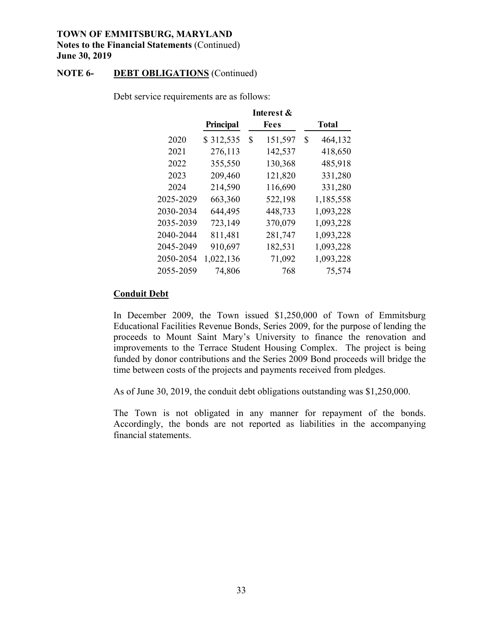#### **NOTE 6- DEBT OBLIGATIONS** (Continued)

|           |           | Interest &    |               |
|-----------|-----------|---------------|---------------|
|           | Principal | <b>Fees</b>   | <b>Total</b>  |
| 2020      | \$312,535 | \$<br>151,597 | \$<br>464,132 |
| 2021      | 276,113   | 142,537       | 418,650       |
| 2022      | 355,550   | 130,368       | 485,918       |
| 2023      | 209,460   | 121,820       | 331,280       |
| 2024      | 214,590   | 116,690       | 331,280       |
| 2025-2029 | 663,360   | 522,198       | 1,185,558     |
| 2030-2034 | 644,495   | 448,733       | 1,093,228     |
| 2035-2039 | 723,149   | 370,079       | 1,093,228     |
| 2040-2044 | 811,481   | 281,747       | 1,093,228     |
| 2045-2049 | 910,697   | 182,531       | 1,093,228     |
| 2050-2054 | 1,022,136 | 71,092        | 1,093,228     |
| 2055-2059 | 74,806    | 768           | 75,574        |
|           |           |               |               |

Debt service requirements are as follows:

#### **Conduit Debt**

In December 2009, the Town issued \$1,250,000 of Town of Emmitsburg Educational Facilities Revenue Bonds, Series 2009, for the purpose of lending the proceeds to Mount Saint Mary's University to finance the renovation and improvements to the Terrace Student Housing Complex. The project is being funded by donor contributions and the Series 2009 Bond proceeds will bridge the time between costs of the projects and payments received from pledges.

As of June 30, 2019, the conduit debt obligations outstanding was \$1,250,000.

The Town is not obligated in any manner for repayment of the bonds. Accordingly, the bonds are not reported as liabilities in the accompanying financial statements.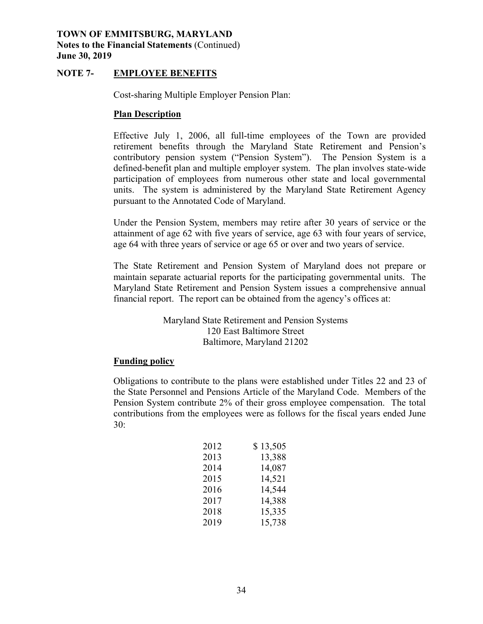# **Notes to the Financial Statements** (Continued) **June 30, 2019**

#### **NOTE 7- EMPLOYEE BENEFITS**

Cost-sharing Multiple Employer Pension Plan:

#### **Plan Description**

 units. The system is administered by the Maryland State Retirement Agency **TOWN OF EMMITSBURG, MARYLAND**<br>
Notes to the Financial Statements (Continued<br>
June 30, 2019<br>
NOTE 7- EMPLOYEE BENEFITS<br>
Cost-sharing Multiple Employer<br>
<u>Plan Description</u><br>
Effective July 1, 2006, all f<br>
retirement benefits Effective July 1, 2006, all full-time employees of the Town are provided retirement benefits through the Maryland State Retirement and Pension's contributory pension system ("Pension System"). The Pension System is a defined-benefit plan and multiple employer system. The plan involves state-wide participation of employees from numerous other state and local governmental pursuant to the Annotated Code of Maryland.

Under the Pension System, members may retire after 30 years of service or the attainment of age 62 with five years of service, age 63 with four years of service, age 64 with three years of service or age 65 or over and two years of service.

 Maryland State Retirement and Pension System issues a comprehensive annual The system is administered by the Maryland State Retirement Ager<br>ant to the Annotated Code of Maryland.<br>The Pension System, members may retire after 30 years of service or<br>ment of age 62 with five years of service, age 63 The State Retirement and Pension System of Maryland does not prepare or maintain separate actuarial reports for the participating governmental units. The financial report. The report can be obtained from the agency's offices at:

Maryland State Retirement and Pension Systems 120 East Baltimore Street Baltimore, Maryland 21202

#### **Funding policy**

 the State Personnel and Pensions Article of the Maryland Code. Members of the contributions from the employees were as follows for the fiscal years ended June Obligations to contribute to the plans were established under Titles 22 and 23 of Pension System contribute 2% of their gross employee compensation. The total 30:

| 2012 | \$13,505 |
|------|----------|
| 2013 | 13,388   |
| 2014 | 14,087   |
| 2015 | 14,521   |
| 2016 | 14,544   |
| 2017 | 14,388   |
| 2018 | 15,335   |
| 2019 | 15,738   |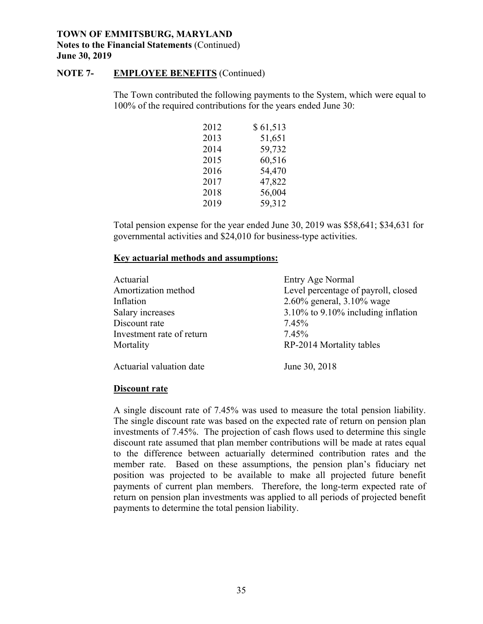# **Notes to the Financial Statements** (Continued) **June 30, 2019**

#### **NOTE 7- EMPLOYEE BENEFITS** (Continued)

| 2012 | \$61,513 |
|------|----------|
| 2013 | 51,651   |
| 2014 | 59,732   |
| 2015 | 60,516   |
| 2016 | 54,470   |
| 2017 | 47,822   |
| 2018 | 56,004   |
| 2019 | 59,312   |

#### **Key actuarial methods and assumptions:**

| <b>NOTE 7-</b> | <b>EMPLOYEE BENEFITS</b> (Continued)                               |                                                                                            |
|----------------|--------------------------------------------------------------------|--------------------------------------------------------------------------------------------|
|                | 100% of the required contributions for the years ended June 30:    | The Town contributed the following payments to the System, which were equal                |
|                | 2012                                                               | \$61,513                                                                                   |
|                | 2013                                                               | 51,651                                                                                     |
|                | 2014                                                               | 59,732                                                                                     |
|                | 2015                                                               | 60,516                                                                                     |
|                | 2016                                                               | 54,470                                                                                     |
|                | 2017                                                               | 47,822                                                                                     |
|                | 2018                                                               | 56,004                                                                                     |
|                | 2019                                                               | 59,312                                                                                     |
|                | governmental activities and \$24,010 for business-type activities. | Total pension expense for the year ended June 30, 2019 was \$58,641; \$34,631 for          |
|                | <b>Key actuarial methods and assumptions:</b>                      |                                                                                            |
|                |                                                                    |                                                                                            |
|                | Actuarial                                                          | Entry Age Normal                                                                           |
|                | Amortization method<br>Inflation                                   |                                                                                            |
|                |                                                                    | 2.60% general, 3.10% wage                                                                  |
|                | Salary increases<br>Discount rate                                  | 7.45%                                                                                      |
|                | Investment rate of return                                          | 7.45%                                                                                      |
|                | Mortality                                                          | RP-2014 Mortality tables                                                                   |
|                | Actuarial valuation date                                           | Level percentage of payroll, closed<br>3.10% to 9.10% including inflation<br>June 30, 2018 |

#### **Discount rate**

 A single discount rate of 7.45% was used to measure the total pension liability. The single discount rate was based on the expected rate of return on pension plan investments of 7.45%. The projection of cash flows used to determine this single discount rate assumed that plan member contributions will be made at rates equal to the difference between actuarially determined contribution rates and the member rate. Based on these assumptions, the pension plan's fiduciary net position was projected to be available to make all projected future benefit payments of current plan members. Therefore, the long-term expected rate of return on pension plan investments was applied to all periods of projected benefit payments to determine the total pension liability.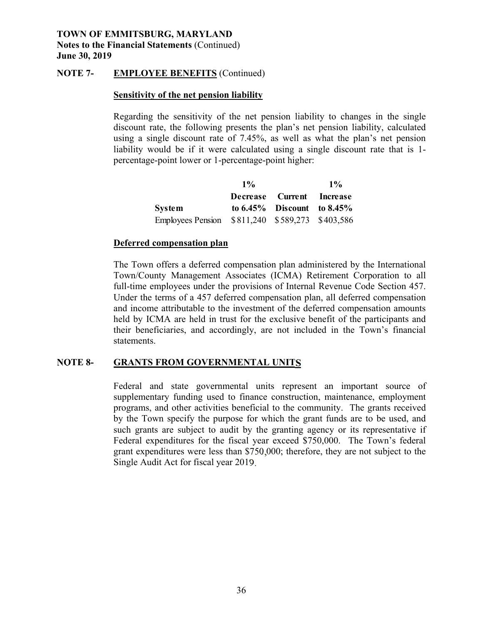#### **NOTE 7- EMPLOYEE BENEFITS** (Continued)

#### **Sensitivity of the net pension liability**

Regarding the sensitivity of the net pension liability to changes in the single discount rate, the following presents the plan's net pension liability, calculated using a single discount rate of 7.45%, as well as what the plan's net pension liability would be if it were calculated using a single discount rate that is 1 percentage-point lower or 1-percentage-point higher:

|                                                 | $1\%$ |                                  | $1\%$ |
|-------------------------------------------------|-------|----------------------------------|-------|
|                                                 |       | Decrease Current Increase        |       |
| System                                          |       | to $6.45\%$ Discount to $8.45\%$ |       |
| Employees Pension \$811,240 \$589,273 \$403,586 |       |                                  |       |

#### **Deferred compensation plan**

 The Town offers a deferred compensation plan administered by the International Employees Pension \$811,240 \$589,273 \$403,586<br>
Deferred compensation plan<br>
The Town offers a deferred compensation plan administered by the International<br>
Town/County Management Associates (ICMA) Retirement Corporation to a held by ICMA are held in trust for the exclusive benefit of the participants and TOWN OF EMMITSBURG, MARYLAND<br>
Norther Solution (Continued)<br>
Norther 30, 2019<br>
Norther 30, 2019<br>
Norther 30, 2019<br>
Sensitivity of the net pension liability<br>
Regarding the sensitivity of the net pension liability<br>
Regarding full-time employees under the provisions of Internal Revenue Code Section 457. Under the terms of a 457 deferred compensation plan, all deferred compensation and income attributable to the investment of the deferred compensation amounts their beneficiaries, and accordingly, are not included in the Town's financial statements.

#### **NOTE 8- GRANTS FROM GOVERNMENTAL UNITS**

 programs, and other activities beneficial to the community. The grants received Federal and state governmental units represent an important source of supplementary funding used to finance construction, maintenance, employment by the Town specify the purpose for which the grant funds are to be used, and such grants are subject to audit by the granting agency or its representative if Federal expenditures for the fiscal year exceed \$750,000. The Town's federal grant expenditures were less than \$750,000; therefore, they are not subject to the Single Audit Act for fiscal year 2019.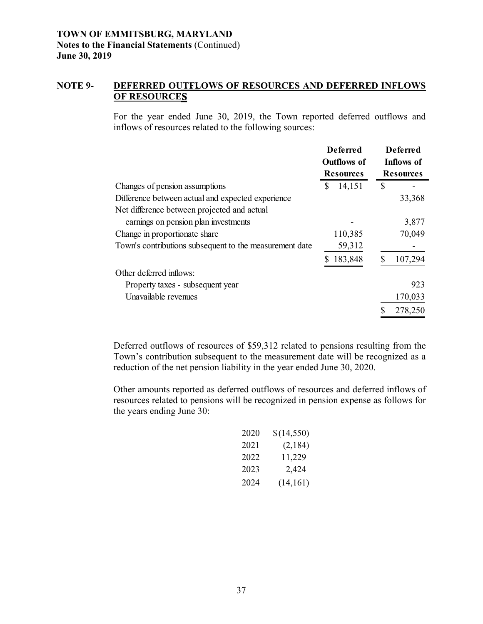#### **NOTE 9- DEFERRED OUTFLOWS OF RESOURCES AND DEFERRED INFLOWS OF RESOURCES**

For the year ended June 30, 2019, the Town reported deferred outflows and inflows of resources related to the following sources:

|                                                         | <b>Deferred</b><br>Outflows of<br><b>Resources</b> | <b>Deferred</b><br>Inflows of<br><b>Resources</b> |
|---------------------------------------------------------|----------------------------------------------------|---------------------------------------------------|
| Changes of pension assumptions                          | S<br>14,151                                        | \$                                                |
| Difference between actual and expected experience       |                                                    | 33,368                                            |
| Net difference between projected and actual             |                                                    |                                                   |
| earnings on pension plan investments                    |                                                    | 3,877                                             |
| Change in proportionate share                           | 110,385                                            | 70,049                                            |
| Town's contributions subsequent to the measurement date | 59,312                                             |                                                   |
|                                                         | 183,848                                            | 107,294                                           |
| Other deferred inflows:                                 |                                                    |                                                   |
| Property taxes - subsequent year                        |                                                    | 923                                               |
| Unavailable revenues                                    |                                                    | 170,033                                           |
|                                                         |                                                    | 278,250                                           |

Deferred outflows of resources of \$59,312 related to pensions resulting from the Town's contribution subsequent to the measurement date will be recognized as a reduction of the net pension liability in the year ended June 30, 2020.

 resources related to pensions will be recognized in pension expense as follows for Other amounts reported as deferred outflows of resources and deferred inflows of the years ending June 30:

|      | be recognized in p |
|------|--------------------|
|      |                    |
| 2020 | \$(14,550)         |
| 2021 | (2, 184)           |
| 2022 | 11,229             |
| 2023 | 2,424              |
| 2024 | (14,161)           |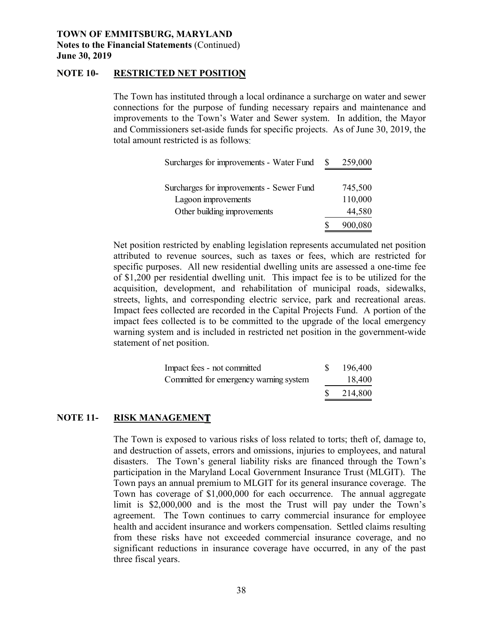# **Notes to the Financial Statements** (Continued) **June 30, 2019**

#### **NOTE 10- RESTRICTED NET POSITION**

The Town has instituted through a local ordinance a surcharge on water and sewer connections for the purpose of funding necessary repairs and maintenance and improvements to the Town's Water and Sewer system. In addition, the Mayor and Commissioners set-aside funds for specific projects. As of June 30, 2019, the total amount restricted is as follows:

| Surcharges for improvements - Water Fund | 259,000 |
|------------------------------------------|---------|
|                                          |         |
| Surcharges for improvements - Sewer Fund | 745,500 |
| Lagoon improvements                      | 110,000 |
| Other building improvements              | 44,580  |
|                                          | 900,080 |

 Net position restricted by enabling legislation represents accumulated net position attributed to revenue sources, such as taxes or fees, which are restricted for specific purposes. All new residential dwelling units are assessed a one-time fee streets, lights, and corresponding electric service, park and recreational areas. Impact fees collected are recorded in the Capital Projects Fund. A portion of the Surcharges for improvements - Water I<br>Surcharges for improvements - Sewer I<br>Lagoon improvements<br>Other building improvements<br>restricted by enabling legislation rep<br>restricted by enabling legislation rep<br>revenue sources, suc **TOWN OF EMMITSBURG, MARYLAND**<br> **TOWNS OF EMMITSBURG, MARYLAND**<br> **TOWNS OF EMMITSBURG, MARYLAND**<br>
The Town has instituted through a local ordinance a surveharge on water and<br>
commetions for the purpose of funding mecessary of \$1,200 per residential dwelling unit. This impact fee is to be utilized for the acquisition, development, and rehabilitation of municipal roads, sidewalks, impact fees collected is to be committed to the upgrade of the local emergency warning system and is included in restricted net position in the government-wide statement of net position.

| Impact fees - not committed            | 196,400 |
|----------------------------------------|---------|
| Committed for emergency warning system | 18,400  |
|                                        | 214,800 |

#### **NOTE 11- RISK MANAGEMENT**

 disasters. The Town's general liability risks are financed through the Town's participation in the Maryland Local Government Insurance Trust (MLGIT). The health and accident insurance and workers compensation. Settled claims resulting The Town is exposed to various risks of loss related to torts; theft of, damage to, and destruction of assets, errors and omissions, injuries to employees, and natural Town pays an annual premium to MLGIT for its general insurance coverage. The Town has coverage of \$1,000,000 for each occurrence. The annual aggregate limit is \$2,000,000 and is the most the Trust will pay under the Town's agreement. The Town continues to carry commercial insurance for employee from these risks have not exceeded commercial insurance coverage, and no significant reductions in insurance coverage have occurred, in any of the past three fiscal years.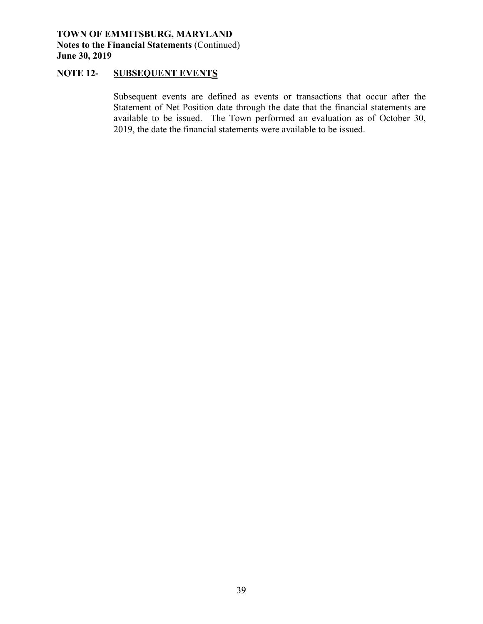#### **NOTE 12- SUBSEQUENT EVENTS**

 available to be issued. The Town performed an evaluation as of October 30, Subsequent events are defined as events or transactions that occur after the Statement of Net Position date through the date that the financial statements are 2019, the date the financial statements were available to be issued.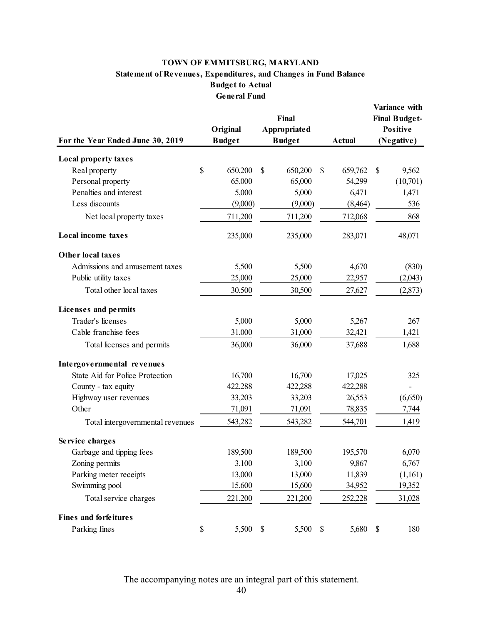#### **Statement of Revenues, Expenditures, and Changes in Fund Balance Budget to Actual General Fund TOWN OF EMMITSBURG, MARYLAND**

|                                        | Final                     |    |                                      |               |               | Variance with<br><b>Final Budget-</b> |                        |  |
|----------------------------------------|---------------------------|----|--------------------------------------|---------------|---------------|---------------------------------------|------------------------|--|
| For the Year Ended June 30, 2019       | Original<br><b>Budget</b> |    | <b>Appropriated</b><br><b>Budget</b> |               | <b>Actual</b> |                                       | Positive<br>(Negative) |  |
|                                        |                           |    |                                      |               |               |                                       |                        |  |
| <b>Local property taxes</b>            |                           |    |                                      |               |               |                                       |                        |  |
| Real property                          | \$<br>650,200             | \$ | 650,200                              | $\mathcal{S}$ | 659,762       | $\mathcal{S}$                         | 9,562                  |  |
| Personal property                      | 65,000                    |    | 65,000                               |               | 54,299        |                                       | (10,701)               |  |
| Penalties and interest                 | 5,000                     |    | 5,000                                |               | 6,471         |                                       | 1,471                  |  |
| Less discounts                         | (9,000)                   |    | (9,000)                              |               | (8, 464)      |                                       | 536                    |  |
| Net local property taxes               | 711,200                   |    | 711,200                              |               | 712,068       |                                       | 868                    |  |
| <b>Local income taxes</b>              | 235,000                   |    | 235,000                              |               | 283,071       |                                       | 48,071                 |  |
| Other local taxes                      |                           |    |                                      |               |               |                                       |                        |  |
| Admissions and amusement taxes         | 5,500                     |    | 5,500                                |               | 4,670         |                                       | (830)                  |  |
| Public utility taxes                   | 25,000                    |    | 25,000                               |               | 22,957        |                                       | (2,043)                |  |
| Total other local taxes                | 30,500                    |    | 30,500                               |               | 27,627        |                                       | (2,873)                |  |
| Licenses and permits                   |                           |    |                                      |               |               |                                       |                        |  |
| Trader's licenses                      | 5,000                     |    | 5,000                                |               | 5,267         |                                       | 267                    |  |
| Cable franchise fees                   | 31,000                    |    | 31,000                               |               | 32,421        |                                       | 1,421                  |  |
| Total licenses and permits             | 36,000                    |    | 36,000                               |               | 37,688        |                                       | 1,688                  |  |
| Intergovernmental revenues             |                           |    |                                      |               |               |                                       |                        |  |
| <b>State Aid for Police Protection</b> | 16,700                    |    | 16,700                               |               | 17,025        |                                       | 325                    |  |
| County - tax equity                    | 422,288                   |    | 422,288                              |               | 422,288       |                                       |                        |  |
| Highway user revenues                  | 33,203                    |    | 33,203                               |               | 26,553        |                                       | (6,650)                |  |
| Other                                  | 71,091                    |    | 71,091                               |               | 78,835        |                                       | 7,744                  |  |
| Total intergovernmental revenues       | 543,282                   |    | 543,282                              |               | 544,701       |                                       | 1,419                  |  |
| Service charges                        |                           |    |                                      |               |               |                                       |                        |  |
| Garbage and tipping fees               | 189,500                   |    | 189,500                              |               | 195,570       |                                       | 6,070                  |  |
| Zoning permits                         | 3,100                     |    | 3,100                                |               | 9,867         |                                       | 6,767                  |  |
| Parking meter receipts                 | 13,000                    |    | 13,000                               |               | 11,839        |                                       | (1,161)                |  |
| Swimming pool                          | 15,600                    |    | 15,600                               |               | 34,952        |                                       | 19,352                 |  |
| Total service charges                  | 221,200                   |    | 221,200                              |               | 252,228       |                                       | 31,028                 |  |
| <b>Fines and forfeitures</b>           |                           |    |                                      |               |               |                                       |                        |  |
| Parking fines                          | \$<br>5,500               | \$ | 5,500                                | \$            | 5,680         | \$                                    | 180                    |  |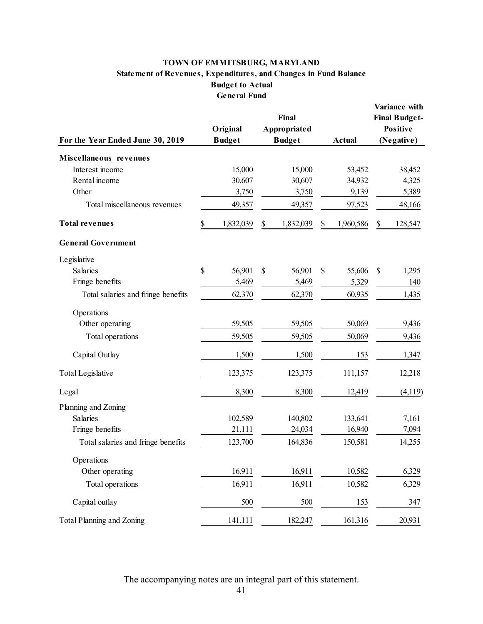#### **TOWN OF EMMITSBURG, MARYLAND Statement of Revenues, Expenditures, and Changes in Fund Balance Budget to Actual General Fund**

| TOWN OF EMMITSBURG, MARYLAND<br><b>Statement of Revenues, Expenditures, and Changes in Fund Balance</b><br><b>Budget to Actual</b> |                                                  |                                               |                 |                                                                        |  |  |  |  |  |
|------------------------------------------------------------------------------------------------------------------------------------|--------------------------------------------------|-----------------------------------------------|-----------------|------------------------------------------------------------------------|--|--|--|--|--|
| For the Year Ended June 30, 2019                                                                                                   | <b>General Fund</b><br>Original<br><b>Budget</b> | Final<br><b>Appropriated</b><br><b>Budget</b> | <b>Actual</b>   | Variance with<br><b>Final Budget-</b><br><b>Positive</b><br>(Negative) |  |  |  |  |  |
| Miscellaneous revenues                                                                                                             |                                                  |                                               |                 |                                                                        |  |  |  |  |  |
| Interest income                                                                                                                    | 15,000                                           | 15,000                                        | 53,452          | 38,452                                                                 |  |  |  |  |  |
| Rental income                                                                                                                      | 30,607                                           | 30,607                                        | 34,932          | 4,325                                                                  |  |  |  |  |  |
| Other                                                                                                                              | 3,750                                            | 3,750                                         | 9,139           | 5,389                                                                  |  |  |  |  |  |
| Total miscellaneous revenues                                                                                                       | 49,357                                           | 49,357                                        | 97,523          | 48,166                                                                 |  |  |  |  |  |
| <b>Total revenues</b>                                                                                                              | \$<br>1,832,039                                  | \$<br>1,832,039                               | \$<br>1,960,586 | 128,547<br>\$                                                          |  |  |  |  |  |
| <b>General Government</b>                                                                                                          |                                                  |                                               |                 |                                                                        |  |  |  |  |  |
| Legislative                                                                                                                        |                                                  |                                               |                 |                                                                        |  |  |  |  |  |
| Salaries                                                                                                                           | \$<br>56,901                                     | \$<br>56,901                                  | \$<br>55,606    | \$<br>1,295                                                            |  |  |  |  |  |
| Fringe benefits                                                                                                                    | 5,469                                            | 5,469                                         | 5,329           | 140                                                                    |  |  |  |  |  |
| Total salaries and fringe benefits                                                                                                 | 62,370                                           | 62,370                                        | 60,935          | 1,435                                                                  |  |  |  |  |  |
| Operations                                                                                                                         |                                                  |                                               |                 |                                                                        |  |  |  |  |  |
| Other operating                                                                                                                    | 59,505                                           | 59,505                                        | 50,069          | 9,436                                                                  |  |  |  |  |  |
| Total operations                                                                                                                   | 59,505                                           | 59,505                                        | 50,069          | 9,436                                                                  |  |  |  |  |  |
| Capital Outlay                                                                                                                     | 1,500                                            | 1,500                                         | 153             | 1,347                                                                  |  |  |  |  |  |
| <b>Total Legislative</b>                                                                                                           | 123,375                                          | 123,375                                       | 111,157         | 12,218                                                                 |  |  |  |  |  |
| Legal                                                                                                                              | 8,300                                            | 8,300                                         | 12,419          | (4,119)                                                                |  |  |  |  |  |
| Planning and Zoning                                                                                                                |                                                  |                                               |                 |                                                                        |  |  |  |  |  |
| Salaries                                                                                                                           | 102,589                                          | 140,802                                       | 133,641         | 7,161                                                                  |  |  |  |  |  |
| Fringe benefits                                                                                                                    | 21,111                                           | 24,034                                        | 16,940          | 7,094                                                                  |  |  |  |  |  |
| Total salaries and fringe benefits                                                                                                 | 123,700                                          | 164,836                                       | 150,581         | 14,255                                                                 |  |  |  |  |  |
| Operations                                                                                                                         |                                                  |                                               |                 |                                                                        |  |  |  |  |  |
| Other operating                                                                                                                    | 16,911                                           | 16,911                                        | 10,582          | 6,329                                                                  |  |  |  |  |  |
| Total operations                                                                                                                   | 16,911                                           | 16,911                                        | 10,582          | 6,329                                                                  |  |  |  |  |  |
| Capital outlay                                                                                                                     | 500                                              | 500                                           | 153             | 347                                                                    |  |  |  |  |  |
| Total Planning and Zoning                                                                                                          | 141,111                                          | 182,247                                       | 161,316         | 20,931                                                                 |  |  |  |  |  |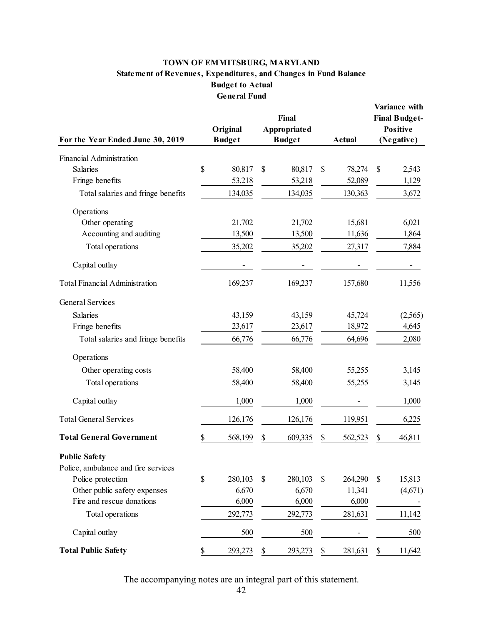#### **TOWN OF EMMITSBURG, MARYLAND Statement of Revenues, Expenditures, and Changes in Fund Balance Budget to Actual General Fund**

| For the Year Ended June 30, 2019      |    | Original<br><b>Budget</b> | Final<br><b>Appropriated</b><br><b>Budget</b> | <b>Actual</b> | Variance with<br><b>Final Budget-</b><br><b>Positive</b><br>(Negative) |         |  |
|---------------------------------------|----|---------------------------|-----------------------------------------------|---------------|------------------------------------------------------------------------|---------|--|
| Financial Administration              |    |                           |                                               |               |                                                                        |         |  |
| Salaries                              | \$ | 80,817                    | \$<br>80,817                                  | \$<br>78,274  | \$                                                                     | 2,543   |  |
| Fringe benefits                       |    | 53,218                    | 53,218                                        | 52,089        |                                                                        | 1,129   |  |
| Total salaries and fringe benefits    |    | 134,035                   | 134,035                                       | 130,363       |                                                                        | 3,672   |  |
| Operations                            |    |                           |                                               |               |                                                                        |         |  |
| Other operating                       |    | 21,702                    | 21,702                                        | 15,681        |                                                                        | 6,021   |  |
| Accounting and auditing               |    | 13,500                    | 13,500                                        | 11,636        |                                                                        | 1,864   |  |
| Total operations                      |    | 35,202                    | 35,202                                        | 27,317        |                                                                        | 7,884   |  |
| Capital outlay                        |    |                           |                                               |               |                                                                        |         |  |
| <b>Total Financial Administration</b> |    | 169,237                   | 169,237                                       | 157,680       |                                                                        | 11,556  |  |
| <b>General Services</b>               |    |                           |                                               |               |                                                                        |         |  |
| <b>Salaries</b>                       |    | 43,159                    | 43,159                                        | 45,724        |                                                                        | (2,565) |  |
| Fringe benefits                       |    | 23,617                    | 23,617                                        | 18,972        |                                                                        | 4,645   |  |
| Total salaries and fringe benefits    |    | 66,776                    | 66,776                                        | 64,696        |                                                                        | 2,080   |  |
| Operations                            |    |                           |                                               |               |                                                                        |         |  |
| Other operating costs                 |    | 58,400                    | 58,400                                        | 55,255        |                                                                        | 3,145   |  |
| Total operations                      |    | 58,400                    | 58,400                                        | 55,255        |                                                                        | 3,145   |  |
| Capital outlay                        |    | 1,000                     | 1,000                                         |               |                                                                        | 1,000   |  |
| <b>Total General Services</b>         |    | 126,176                   | 126,176                                       | 119,951       |                                                                        | 6,225   |  |
| <b>Total General Government</b>       | \$ | 568,199                   | \$<br>609,335                                 | \$<br>562,523 | \$                                                                     | 46,811  |  |
| <b>Public Safety</b>                  |    |                           |                                               |               |                                                                        |         |  |
| Police, ambulance and fire services   |    |                           |                                               |               |                                                                        |         |  |
| Police protection                     | \$ | 280,103                   | \$<br>280,103                                 | \$<br>264,290 | \$                                                                     | 15,813  |  |
| Other public safety expenses          |    | 6,670                     | 6,670                                         | 11,341        |                                                                        | (4,671) |  |
| Fire and rescue donations             |    | 6,000                     | 6,000                                         | 6,000         |                                                                        |         |  |
| Total operations                      |    | 292,773                   | 292,773                                       | 281,631       |                                                                        | 11,142  |  |
| Capital outlay                        |    | 500                       | 500                                           |               |                                                                        | 500     |  |
| <b>Total Public Safety</b>            | S  | 293,273                   | \$<br>293,273                                 | \$<br>281,631 | \$                                                                     | 11,642  |  |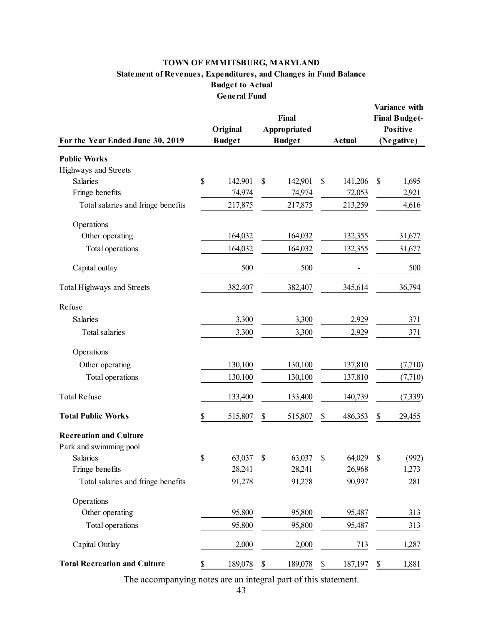#### **TOWN OF EMMITSBURG, MARYLAND Statement of Revenues, Expenditures, and Changes in Fund Balance Budget to Actual General Fund**

| <b>Statement of Revenues, Expenditures, and Changes in Fund Balance</b> |    | TOWN OF EMMITSBURG, MARYLAND<br><b>Budget to Actual</b><br><b>General Fund</b> |    |                                        |               |                                                                        |          |
|-------------------------------------------------------------------------|----|--------------------------------------------------------------------------------|----|----------------------------------------|---------------|------------------------------------------------------------------------|----------|
| For the Year Ended June 30, 2019                                        |    | Original<br><b>Budget</b>                                                      |    | Final<br>Appropriated<br><b>Budget</b> | <b>Actual</b> | Variance with<br><b>Final Budget-</b><br><b>Positive</b><br>(Negative) |          |
| <b>Public Works</b>                                                     |    |                                                                                |    |                                        |               |                                                                        |          |
| Highways and Streets                                                    |    |                                                                                |    |                                        |               |                                                                        |          |
| Salaries                                                                | \$ | 142,901                                                                        | \$ | 142,901                                | \$<br>141,206 | \$                                                                     | 1,695    |
| Fringe benefits                                                         |    | 74,974                                                                         |    | 74,974                                 | 72,053        |                                                                        | 2,921    |
| Total salaries and fringe benefits                                      |    | 217,875                                                                        |    | 217,875                                | 213,259       |                                                                        | 4,616    |
| Operations                                                              |    |                                                                                |    |                                        |               |                                                                        |          |
| Other operating                                                         |    | 164,032                                                                        |    | 164,032                                | 132,355       |                                                                        | 31,677   |
| Total operations                                                        |    | 164,032                                                                        |    | 164,032                                | 132,355       |                                                                        | 31,677   |
| Capital outlay                                                          |    | 500                                                                            |    | 500                                    |               |                                                                        | 500      |
| Total Highways and Streets                                              |    | 382,407                                                                        |    | 382,407                                | 345,614       |                                                                        | 36,794   |
| Refuse                                                                  |    |                                                                                |    |                                        |               |                                                                        |          |
| Salaries                                                                |    | 3,300                                                                          |    | 3,300                                  | 2,929         |                                                                        | 371      |
| Total salaries                                                          |    | 3,300                                                                          |    | 3,300                                  | 2,929         |                                                                        | 371      |
| Operations                                                              |    |                                                                                |    |                                        |               |                                                                        |          |
| Other operating                                                         |    | 130,100                                                                        |    | 130,100                                | 137,810       |                                                                        | (7,710)  |
| Total operations                                                        |    | 130,100                                                                        |    | 130,100                                | 137,810       |                                                                        | (7,710)  |
| <b>Total Refuse</b>                                                     |    | 133,400                                                                        |    | 133,400                                | 140,739       |                                                                        | (7, 339) |
| <b>Total Public Works</b>                                               | \$ | 515,807                                                                        | \$ | 515,807                                | \$<br>486,353 | \$                                                                     | 29,455   |
| <b>Recreation and Culture</b>                                           |    |                                                                                |    |                                        |               |                                                                        |          |
| Park and swimming pool                                                  |    |                                                                                |    |                                        |               |                                                                        |          |
| Salaries                                                                | \$ | 63,037                                                                         | \$ | 63,037                                 | \$<br>64,029  | \$                                                                     | (992)    |
| Fringe benefits                                                         |    | 28,241                                                                         |    | 28,241                                 | 26,968        |                                                                        | 1,273    |
| Total salaries and fringe benefits                                      |    | 91,278                                                                         |    | 91,278                                 | 90,997        |                                                                        | 281      |
| Operations                                                              |    |                                                                                |    |                                        |               |                                                                        |          |
| Other operating                                                         |    | 95,800                                                                         |    | 95,800                                 | 95,487        |                                                                        | 313      |
| Total operations                                                        |    | 95,800                                                                         |    | 95,800                                 | 95,487        |                                                                        | 313      |
| Capital Outlay                                                          |    | 2,000                                                                          |    | 2,000                                  | 713           |                                                                        | 1,287    |
| <b>Total Recreation and Culture</b>                                     | \$ | 189,078                                                                        | \$ | 189,078                                | \$<br>187,197 | \$                                                                     | 1,881    |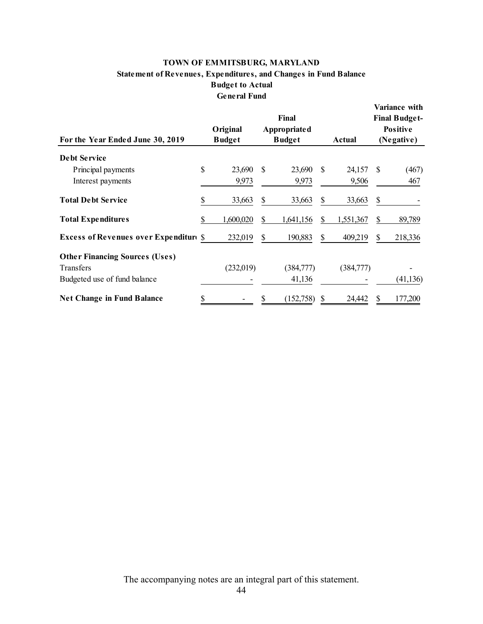#### **TOWN OF EMMITSBURG, MARYLAND Budget to Actual TOWN OF EMMITS**<br>of Revenues, Expenditu<br>Budget **General Fund Statement of Revenues, Expenditures, and Changes in Fund Balance**

| TOWN OF EMMITSBURG, MARYLAND<br><b>Statement of Revenues, Expenditures, and Changes in Fund Balance</b><br><b>Budget to Actual</b><br><b>General Fund</b> |              |                           |    |                                               |    |           |                                                                        |           |  |
|-----------------------------------------------------------------------------------------------------------------------------------------------------------|--------------|---------------------------|----|-----------------------------------------------|----|-----------|------------------------------------------------------------------------|-----------|--|
| For the Year Ended June 30, 2019                                                                                                                          |              | Original<br><b>Budget</b> |    | Final<br><b>Appropriated</b><br><b>Budget</b> |    | Actual    | Variance with<br><b>Final Budget-</b><br><b>Positive</b><br>(Negative) |           |  |
| <b>Debt Service</b>                                                                                                                                       |              |                           |    |                                               |    |           |                                                                        |           |  |
| Principal payments                                                                                                                                        | $\mathbb{S}$ | 23,690                    | S  | 23,690                                        | S. | 24,157    | <sup>\$</sup>                                                          | (467)     |  |
| Interest payments                                                                                                                                         |              | 9,973                     |    | 9,973                                         |    | 9,506     |                                                                        | 467       |  |
| <b>Total Debt Service</b>                                                                                                                                 | \$           | 33,663                    | \$ | 33,663                                        | \$ | 33,663    | \$                                                                     |           |  |
| <b>Total Expenditures</b>                                                                                                                                 | \$           | 1,600,020                 | \$ | 1,641,156                                     | \$ | 1,551,367 | \$                                                                     | 89,789    |  |
| <b>Excess of Revenues over Expenditure \$</b>                                                                                                             |              | 232,019                   | \$ | 190,883                                       | \$ | 409,219   | $\mathcal{S}$                                                          | 218,336   |  |
| <b>Other Financing Sources (Uses)</b>                                                                                                                     |              |                           |    |                                               |    |           |                                                                        |           |  |
| Transfers                                                                                                                                                 |              | (232,019)                 |    | (384,777)                                     |    | (384,777) |                                                                        |           |  |
| Budgeted use of fund balance                                                                                                                              |              |                           |    | 41,136                                        |    |           |                                                                        | (41, 136) |  |
| <b>Net Change in Fund Balance</b>                                                                                                                         | \$           |                           |    | (152,758)                                     | \$ | 24,442    |                                                                        | 177,200   |  |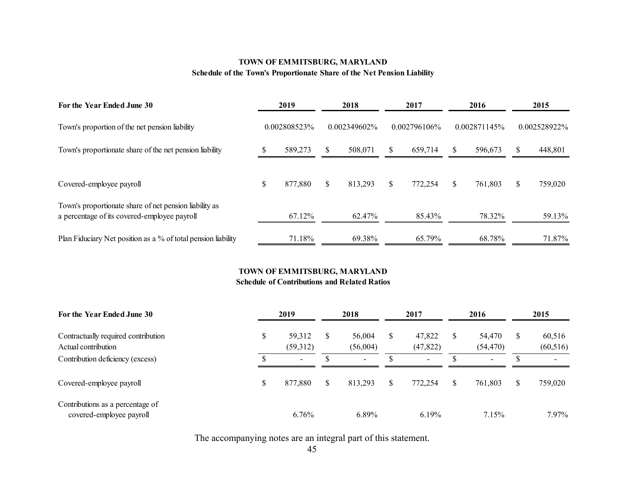#### **TOWN OF EMMITSBURG, MARYLAND Schedule of the Town's Proportionate Share of the Net Pension Liability**

| 2019<br>For the Year Ended June 30<br>0.002808523%<br>Town's proportion of the net pension liability   |    |         | 2018 |              | 2017         | 2016<br>0.002871145% |    | 2015<br>0.002528922% |     |                 |
|--------------------------------------------------------------------------------------------------------|----|---------|------|--------------|--------------|----------------------|----|----------------------|-----|-----------------|
|                                                                                                        |    |         |      | 0.002349602% |              |                      |    |                      |     | $0.002796106\%$ |
| Town's proportionate share of the net pension liability                                                |    | 589,273 | \$.  | 508,071      | <b>S</b>     | 659,714              | S  | 596.673              | S   | 448,801         |
| Covered-employee payroll                                                                               | \$ | 877,880 | \$   | 813,293      | <sup>S</sup> | 772,254              | \$ | 761,803              | \$. | 759,020         |
| Town's proportionate share of net pension liability as<br>a percentage of its covered-employee payroll |    | 67.12%  |      | 62.47%       |              | 85.43%               |    | 78.32%               |     | 59.13%          |
| Plan Fiduciary Net position as a % of total pension liability                                          |    | 71.18%  |      | 69.38%       |              | 65.79%               |    | 68.78%               |     | 71.87%          |

#### **TOWN OF EMMITSBURG, MARYLAND Schedule of Contributions and Related Ratios**

#### **For the Year Ended June 30 2019 2018 2017 2016 2015** Contractually required contribution Actual contributionContribution deficiency (excess) \$ 59,312 (59,312)  $\mathbb{S}$  -\$ 56,004 (56,004)  $\mathbb S$  -\$ 47,822 (47,822)  $\mathbb S$  -\$ 54,470 (54,470)  $\mathbb S$  -\$ 60,516 (60,516)  $\sim$ Covered-employee payroll Contributions as a percentage of covered-employee payroll \$ 877,880 6.76%\$ 813,293 6.89%\$ 772,254 6.19%\$ 761,803 7.15%\$ 759,020 7.97%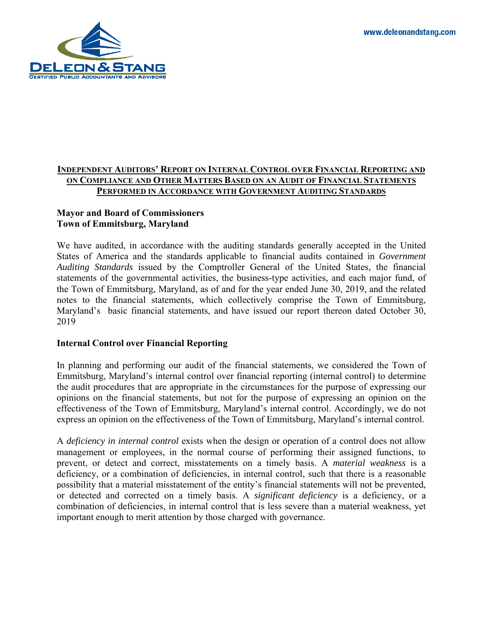www.deleonandstang.com



#### **INDEPENDENT AUDITORS' REPORT ON INTERNAL CONTROL OVER FINANCIAL REPORTING AND ON COMPLIANCE AND OTHER MATTERS BASED ON AN AUDIT OF FINANCIAL STATEMENTS PERFORMED IN ACCORDANCE WITH GOVERNMENT AUDITING STANDARDS**

#### **Mayor and Board of Commissioners Town of Emmitsburg, Maryland**

 Maryland's basic financial statements, and have issued our report thereon dated October 30, We have audited, in accordance with the auditing standards generally accepted in the United States of America and the standards applicable to financial audits contained in *Government Auditing Standards* issued by the Comptroller General of the United States, the financial statements of the governmental activities, the business-type activities, and each major fund, of the Town of Emmitsburg, Maryland, as of and for the year ended June 30, 2019, and the related notes to the financial statements, which collectively comprise the Town of Emmitsburg, 2019

#### **Internal Control over Financial Reporting**

 Emmitsburg, Maryland's internal control over financial reporting (internal control) to determine have issued our report thereon dated October 30<br>
e financial statements, we considered the Town of<br>
er financial reporting (internal control) to determin<br>
the circumstances for the purpose of expressing ou<br>
out for the pur In planning and performing our audit of the financial statements, we considered the Town of the audit procedures that are appropriate in the circumstances for the purpose of expressing our opinions on the financial statements, but not for the purpose of expressing an opinion on the effectiveness of the Town of Emmitsburg, Maryland's internal control. Accordingly, we do not express an opinion on the effectiveness of the Town of Emmitsburg, Maryland's internal control.

 prevent, or detect and correct, misstatements on a timely basis. A *material weakness* is a deficiency, or a combination of deficiencies, in internal control, such that there is a reasonable or detected and corrected on a timely basis. A *significant deficiency* is a deficiency, or a reasonab<br>prevente<br>iency, or A *deficiency in internal control* exists when the design or operation of a control does not allow management or employees, in the normal course of performing their assigned functions, to possibility that a material misstatement of the entity's financial statements will not be prevented, combination of deficiencies, in internal control that is less severe than a material weakness, yet important enough to merit attention by those charged with governance.